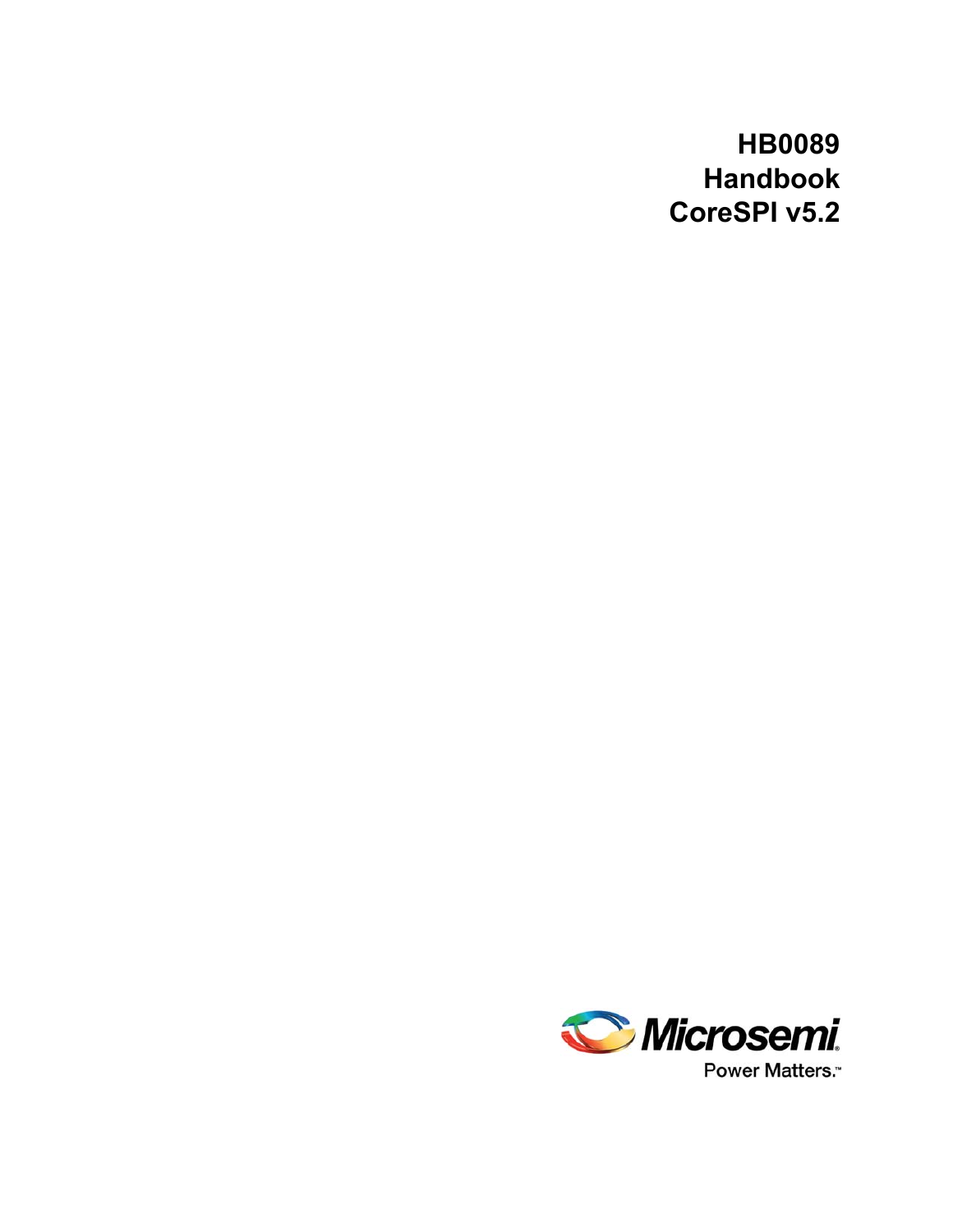# **HB0089 Handbook CoreSPI v5.2**

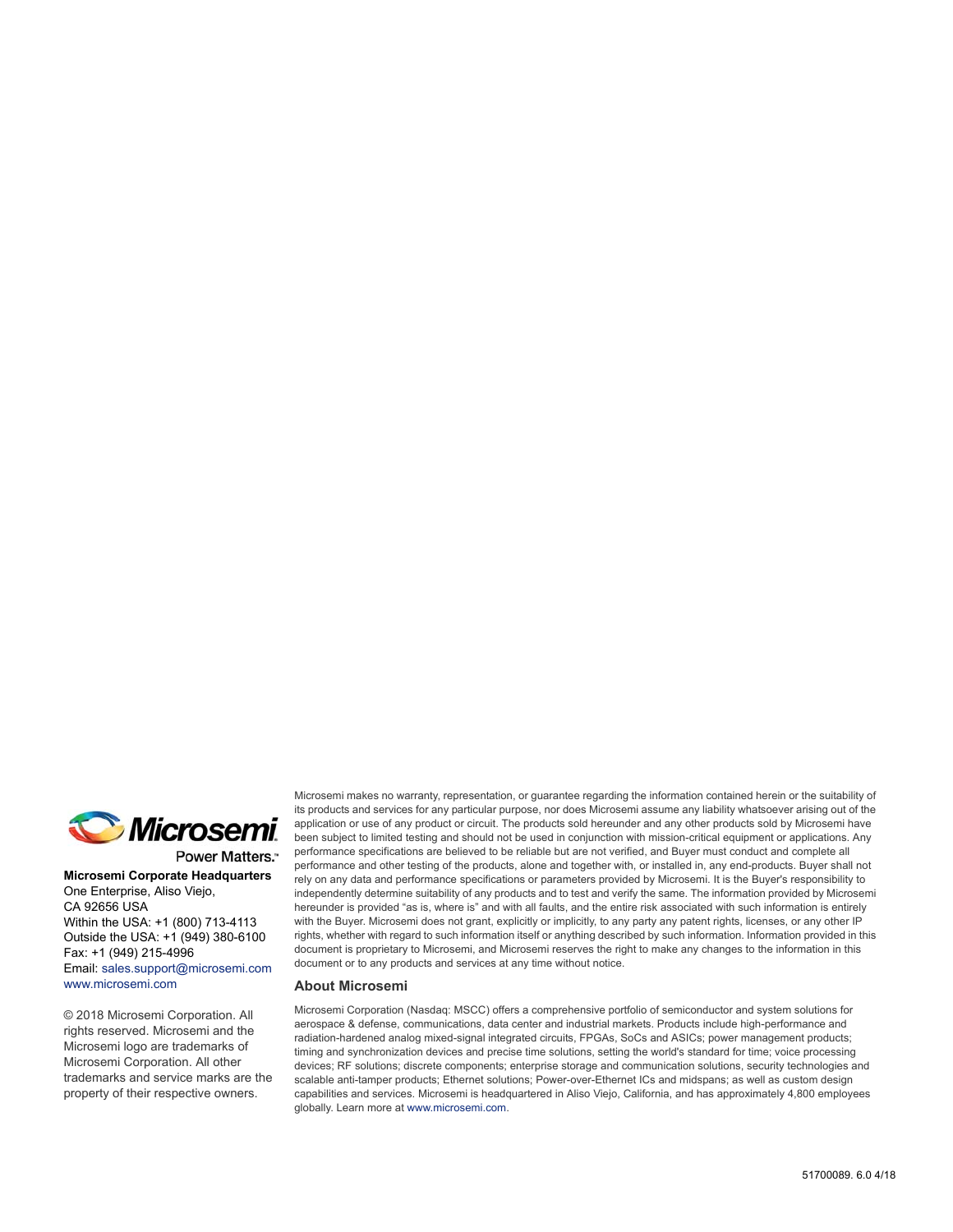

Power Matters.<sup>-</sup>

**Microsemi Corporate Headquarters** One Enterprise, Aliso Viejo, CA 92656 USA Within the USA: +1 (800) 713-4113 Outside the USA: +1 (949) 380-6100 Fax: +1 (949) 215-4996 Email: [sales.support@microsemi.com](mailto:sales.support@microsemi.com) [www.microsemi.com](http://www.microsemi.com)

© 2018 Microsemi Corporation. All rights reserved. Microsemi and the Microsemi logo are trademarks of Microsemi Corporation. All other trademarks and service marks are the property of their respective owners.

Microsemi makes no warranty, representation, or guarantee regarding the information contained herein or the suitability of its products and services for any particular purpose, nor does Microsemi assume any liability whatsoever arising out of the application or use of any product or circuit. The products sold hereunder and any other products sold by Microsemi have been subject to limited testing and should not be used in conjunction with mission-critical equipment or applications. Any performance specifications are believed to be reliable but are not verified, and Buyer must conduct and complete all performance and other testing of the products, alone and together with, or installed in, any end-products. Buyer shall not rely on any data and performance specifications or parameters provided by Microsemi. It is the Buyer's responsibility to independently determine suitability of any products and to test and verify the same. The information provided by Microsemi hereunder is provided "as is, where is" and with all faults, and the entire risk associated with such information is entirely with the Buyer. Microsemi does not grant, explicitly or implicitly, to any party any patent rights, licenses, or any other IP rights, whether with regard to such information itself or anything described by such information. Information provided in this document is proprietary to Microsemi, and Microsemi reserves the right to make any changes to the information in this document or to any products and services at any time without notice.

#### **About Microsemi**

Microsemi Corporation (Nasdaq: MSCC) offers a comprehensive portfolio of semiconductor and system solutions for aerospace & defense, communications, data center and industrial markets. Products include high-performance and radiation-hardened analog mixed-signal integrated circuits, FPGAs, SoCs and ASICs; power management products; timing and synchronization devices and precise time solutions, setting the world's standard for time; voice processing devices; RF solutions; discrete components; enterprise storage and communication solutions, security technologies and scalable anti-tamper products; Ethernet solutions; Power-over-Ethernet ICs and midspans; as well as custom design capabilities and services. Microsemi is headquartered in Aliso Viejo, California, and has approximately 4,800 employees globally. Learn more at www.microsemi.com.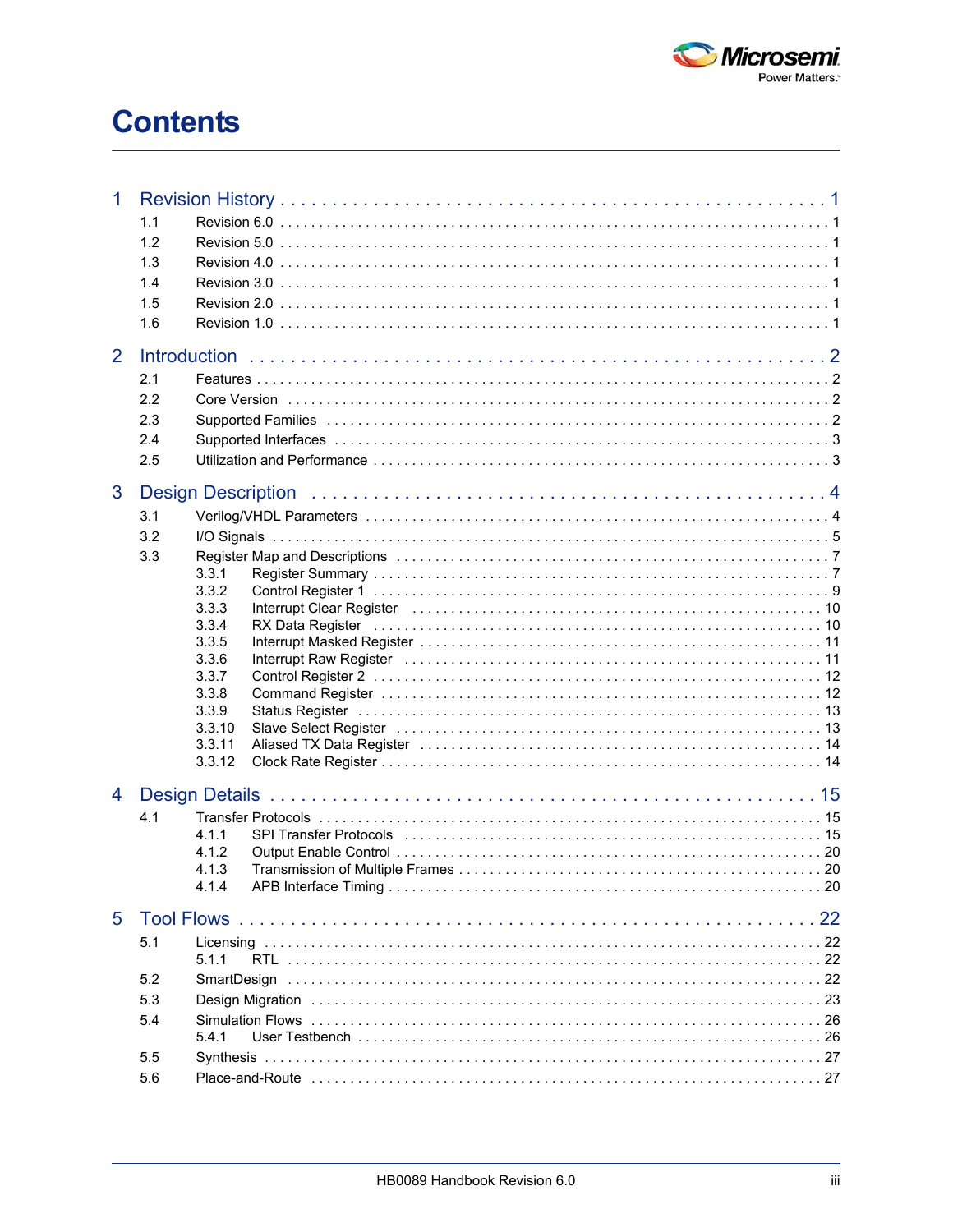

# **Contents**

| 1 | 1.1<br>1.2<br>1.3<br>1.4<br>1.5<br>1.6 |                                                                                                                                          |
|---|----------------------------------------|------------------------------------------------------------------------------------------------------------------------------------------|
| 2 | 2.1<br>2.2<br>2.3<br>2.4<br>2.5        |                                                                                                                                          |
| 3 | 3.1<br>3.2<br>3.3                      | <b>Design Description</b><br>3.3.1<br>3.3.2<br>3.3.3<br>3.3.4<br>3.3.5<br>3.3.6<br>3.3.7<br>3.3.8<br>3.3.9<br>3.3.10<br>3.3.11<br>3.3.12 |
| 4 | 4.1                                    | 4.1.1<br>4.1.2<br>4.1.3<br>4.1.4                                                                                                         |
| 5 | 5.1<br>5.2<br>5.3<br>5.4<br>5.5<br>5.6 | 5.1.1<br>5.4.1                                                                                                                           |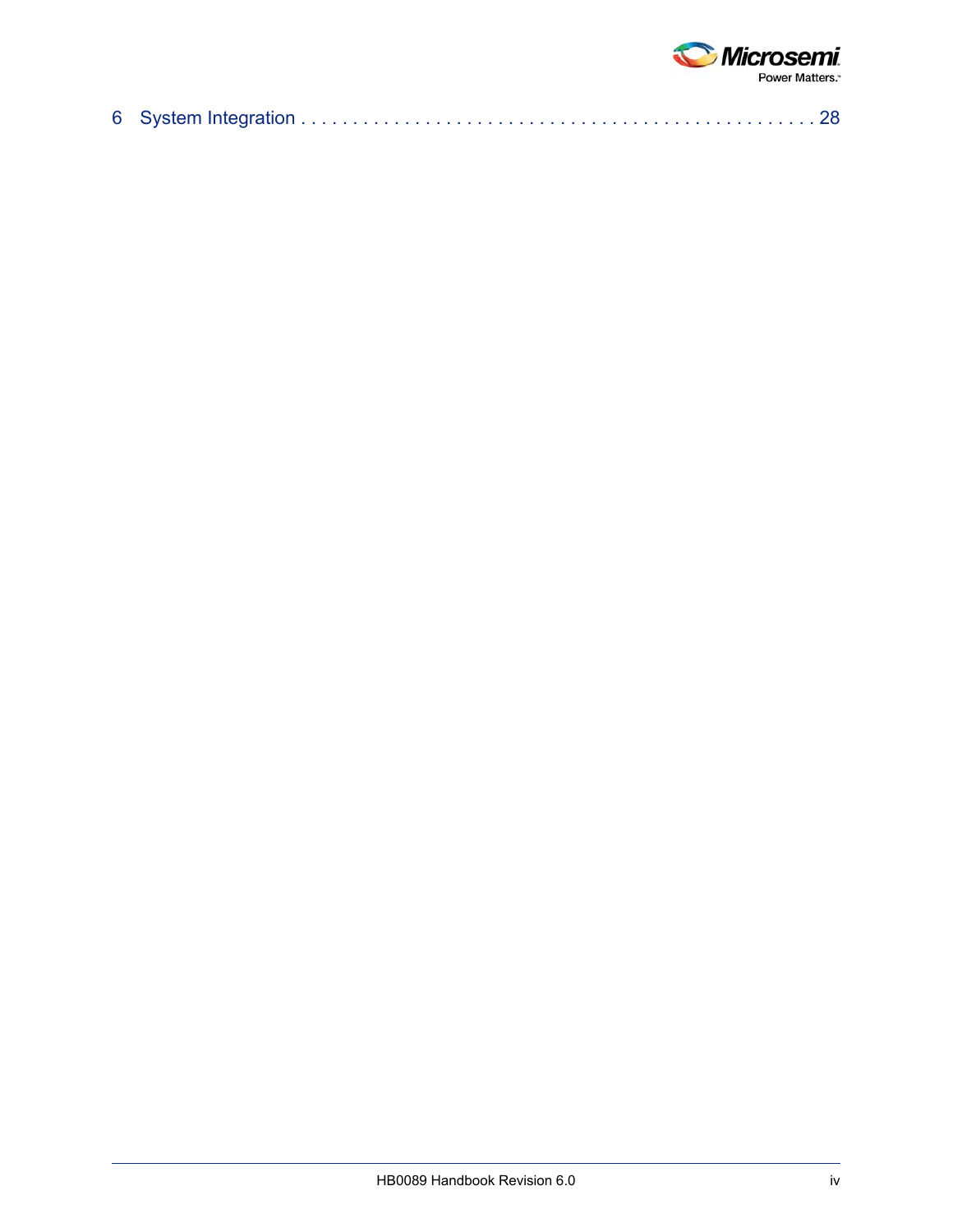

|--|--|--|--|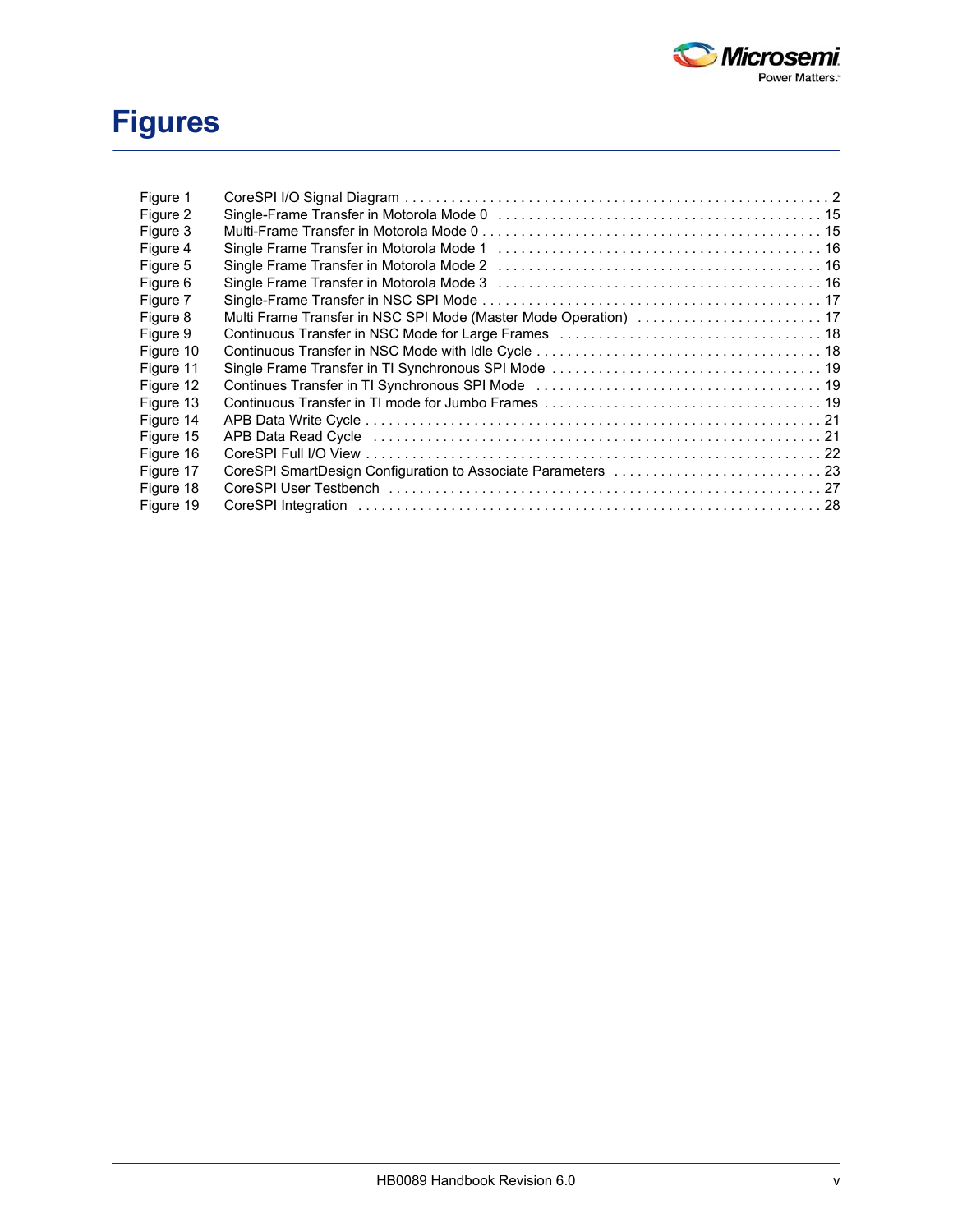

# **Figures**

| Figure 1  |                                                                                                                                        |  |
|-----------|----------------------------------------------------------------------------------------------------------------------------------------|--|
| Figure 2  |                                                                                                                                        |  |
| Figure 3  |                                                                                                                                        |  |
| Figure 4  |                                                                                                                                        |  |
| Figure 5  |                                                                                                                                        |  |
| Figure 6  |                                                                                                                                        |  |
| Figure 7  |                                                                                                                                        |  |
| Figure 8  |                                                                                                                                        |  |
| Figure 9  |                                                                                                                                        |  |
| Figure 10 |                                                                                                                                        |  |
| Figure 11 |                                                                                                                                        |  |
| Figure 12 | Continues Transfer in TI Synchronous SPI Mode National Continues Transfer in TI Synchronous SPI Mode National Continues Transfer in 19 |  |
| Figure 13 |                                                                                                                                        |  |
| Figure 14 |                                                                                                                                        |  |
| Figure 15 | APB Data Read Cycle (and according contract of the contract of the contract of the contract of the contract of                         |  |
| Figure 16 |                                                                                                                                        |  |
| Figure 17 |                                                                                                                                        |  |
| Figure 18 |                                                                                                                                        |  |
| Figure 19 |                                                                                                                                        |  |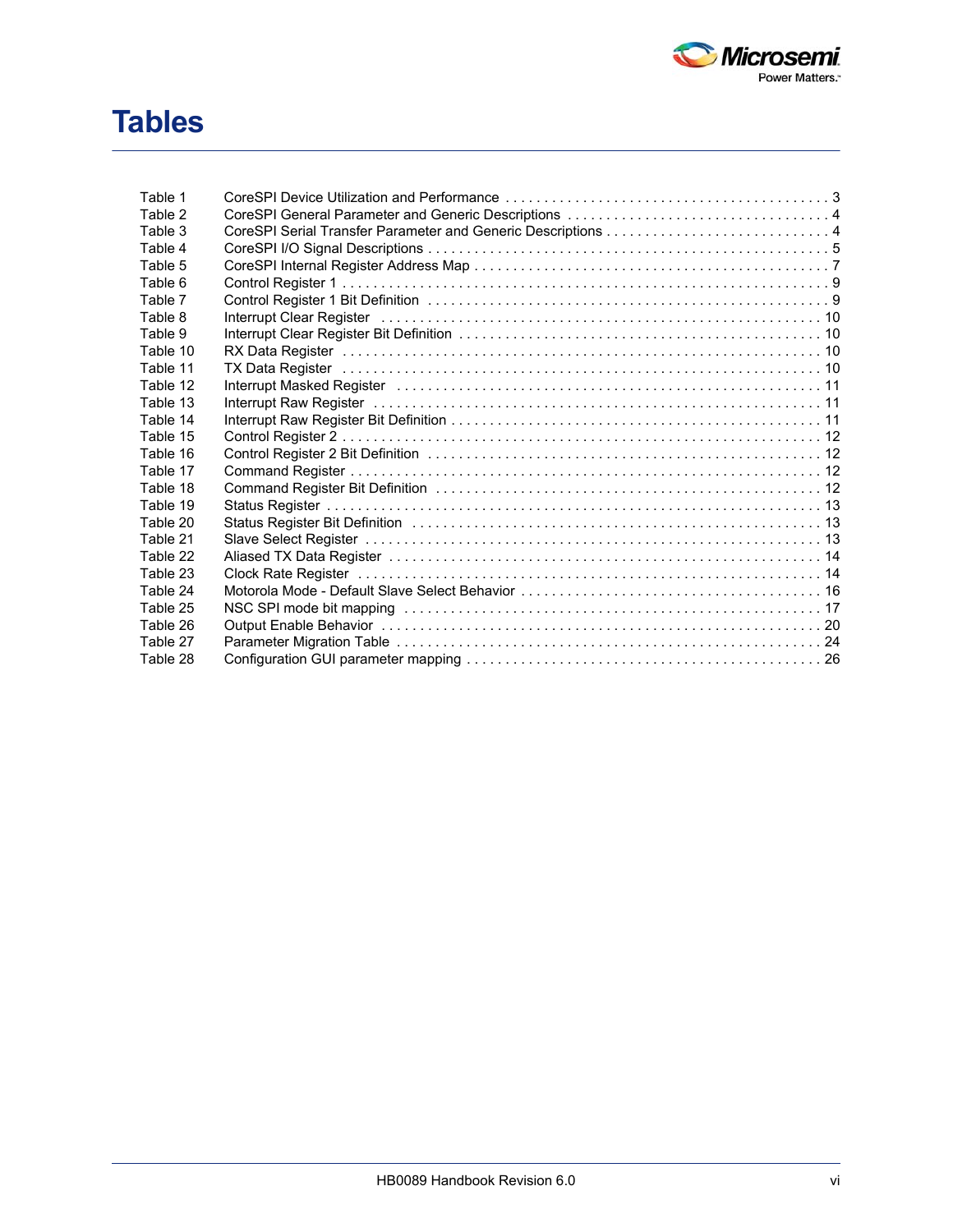

# **Tables**

| Table 1  |                                                                                                                                                                                                                                |
|----------|--------------------------------------------------------------------------------------------------------------------------------------------------------------------------------------------------------------------------------|
| Table 2  |                                                                                                                                                                                                                                |
| Table 3  |                                                                                                                                                                                                                                |
| Table 4  |                                                                                                                                                                                                                                |
| Table 5  |                                                                                                                                                                                                                                |
| Table 6  |                                                                                                                                                                                                                                |
| Table 7  |                                                                                                                                                                                                                                |
| Table 8  | Interrupt Clear Register is a contract to contact the contract of the contract of the contract of the contract o                                                                                                               |
| Table 9  |                                                                                                                                                                                                                                |
| Table 10 |                                                                                                                                                                                                                                |
| Table 11 |                                                                                                                                                                                                                                |
| Table 12 | Interrupt Masked Register is a contract to contact the contract of the contract of the contract of the contract of the contract of the contract of the contract of the contract of the contract of the contract of the contrac |
| Table 13 |                                                                                                                                                                                                                                |
| Table 14 |                                                                                                                                                                                                                                |
| Table 15 |                                                                                                                                                                                                                                |
| Table 16 |                                                                                                                                                                                                                                |
| Table 17 |                                                                                                                                                                                                                                |
| Table 18 |                                                                                                                                                                                                                                |
| Table 19 |                                                                                                                                                                                                                                |
| Table 20 |                                                                                                                                                                                                                                |
| Table 21 |                                                                                                                                                                                                                                |
| Table 22 |                                                                                                                                                                                                                                |
| Table 23 |                                                                                                                                                                                                                                |
| Table 24 |                                                                                                                                                                                                                                |
| Table 25 |                                                                                                                                                                                                                                |
| Table 26 |                                                                                                                                                                                                                                |
| Table 27 |                                                                                                                                                                                                                                |
| Table 28 |                                                                                                                                                                                                                                |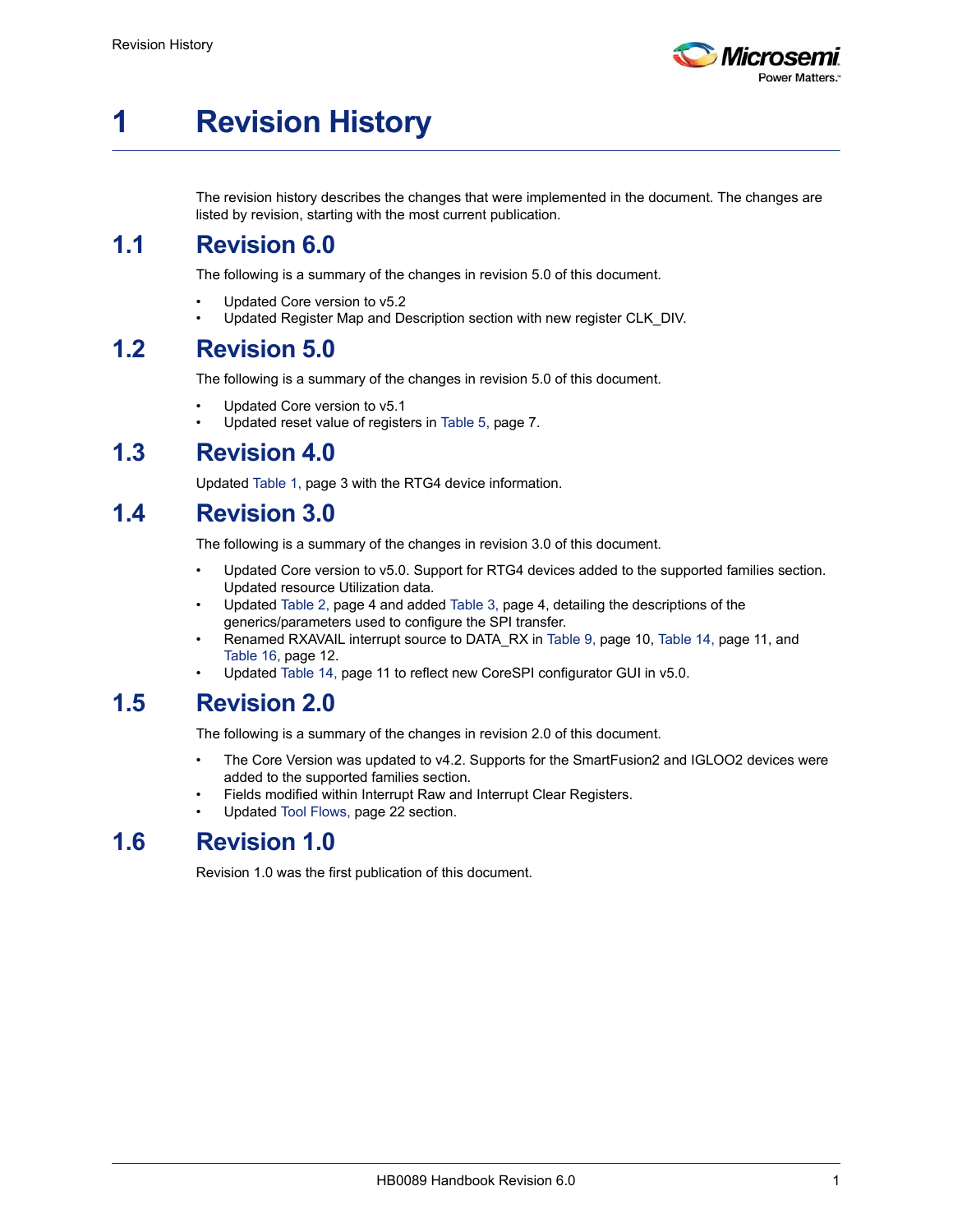

# <span id="page-6-0"></span>**1 Revision History**

The revision history describes the changes that were implemented in the document. The changes are listed by revision, starting with the most current publication.

### <span id="page-6-1"></span>**1.1 Revision 6.0**

The following is a summary of the changes in revision 5.0 of this document.

- Updated Core version to v5.2
- Updated Register Map and Description section with new register CLK\_DIV.

### <span id="page-6-2"></span>**1.2 Revision 5.0**

The following is a summary of the changes in revision 5.0 of this document.

- Updated Core version to v5.1
- Updated reset value of registers in [Table 5, page 7.](#page-12-3)

### <span id="page-6-3"></span>**1.3 Revision 4.0**

Updated Table 1, page 3 with the RTG4 device information.

# <span id="page-6-4"></span>**1.4 Revision 3.0**

The following is a summary of the changes in revision 3.0 of this document.

- Updated Core version to v5.0. Support for RTG4 devices added to the supported families section. Updated resource Utilization data.
- Updated [Table 2, page 4](#page-9-4) and added [Table 3, page 4,](#page-9-5) detailing the descriptions of the generics/parameters used to configure the SPI transfer.
- Renamed RXAVAIL interrupt source to DATA\_RX in [Table 9, page 10,](#page-15-6) [Table 14, page 11,](#page-16-5) and [Table 16, page 12](#page-17-6).
- Updated [Table 14, page 11](#page-16-5) to reflect new CoreSPI configurator GUI in v5.0.

### <span id="page-6-5"></span>**1.5 Revision 2.0**

The following is a summary of the changes in revision 2.0 of this document.

- The Core Version was updated to v4.2. Supports for the SmartFusion2 and IGLOO2 devices were added to the supported families section.
- Fields modified within Interrupt Raw and Interrupt Clear Registers.
- Updated [Tool Flows, page 22](#page-27-5) section.

### <span id="page-6-6"></span>**1.6 Revision 1.0**

Revision 1.0 was the first publication of this document.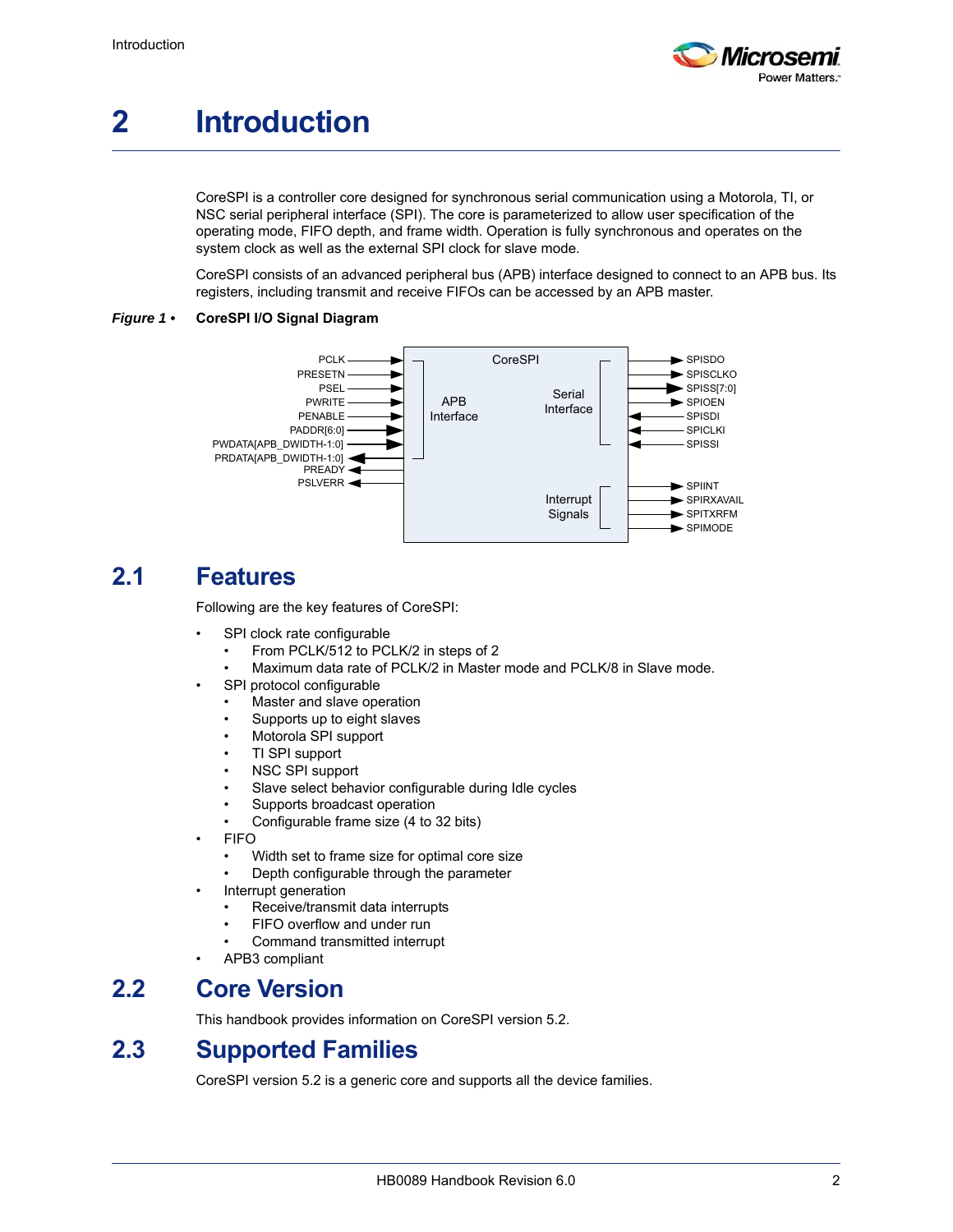

# <span id="page-7-0"></span>**2 Introduction**

CoreSPI is a controller core designed for synchronous serial communication using a Motorola, TI, or NSC serial peripheral interface (SPI). The core is parameterized to allow user specification of the operating mode, FIFO depth, and frame width. Operation is fully synchronous and operates on the system clock as well as the external SPI clock for slave mode.

<span id="page-7-5"></span>CoreSPI consists of an advanced peripheral bus (APB) interface designed to connect to an APB bus. Its registers, including transmit and receive FIFOs can be accessed by an APB master.

#### <span id="page-7-4"></span>*Figure 1 •* **CoreSPI I/O Signal Diagram**



### <span id="page-7-1"></span>**2.1 Features**

Following are the key features of CoreSPI:

- SPI clock rate configurable
	- From PCLK/512 to PCLK/2 in steps of 2
	- Maximum data rate of PCLK/2 in Master mode and PCLK/8 in Slave mode.
- SPI protocol configurable
	- Master and slave operation
	- Supports up to eight slaves
	- Motorola SPI support
	- TI SPI support
	- NSC SPI support
	- Slave select behavior configurable during Idle cycles
	- Supports broadcast operation
	- Configurable frame size (4 to 32 bits)
- FIFO
	- Width set to frame size for optimal core size
	- Depth configurable through the parameter
- Interrupt generation
	- Receive/transmit data interrupts
	- FIFO overflow and under run
	- Command transmitted interrupt
- APB3 compliant

### <span id="page-7-2"></span>**2.2 Core Version**

This handbook provides information on CoreSPI version 5.2.

### <span id="page-7-3"></span>**2.3 Supported Families**

CoreSPI version 5.2 is a generic core and supports all the device families.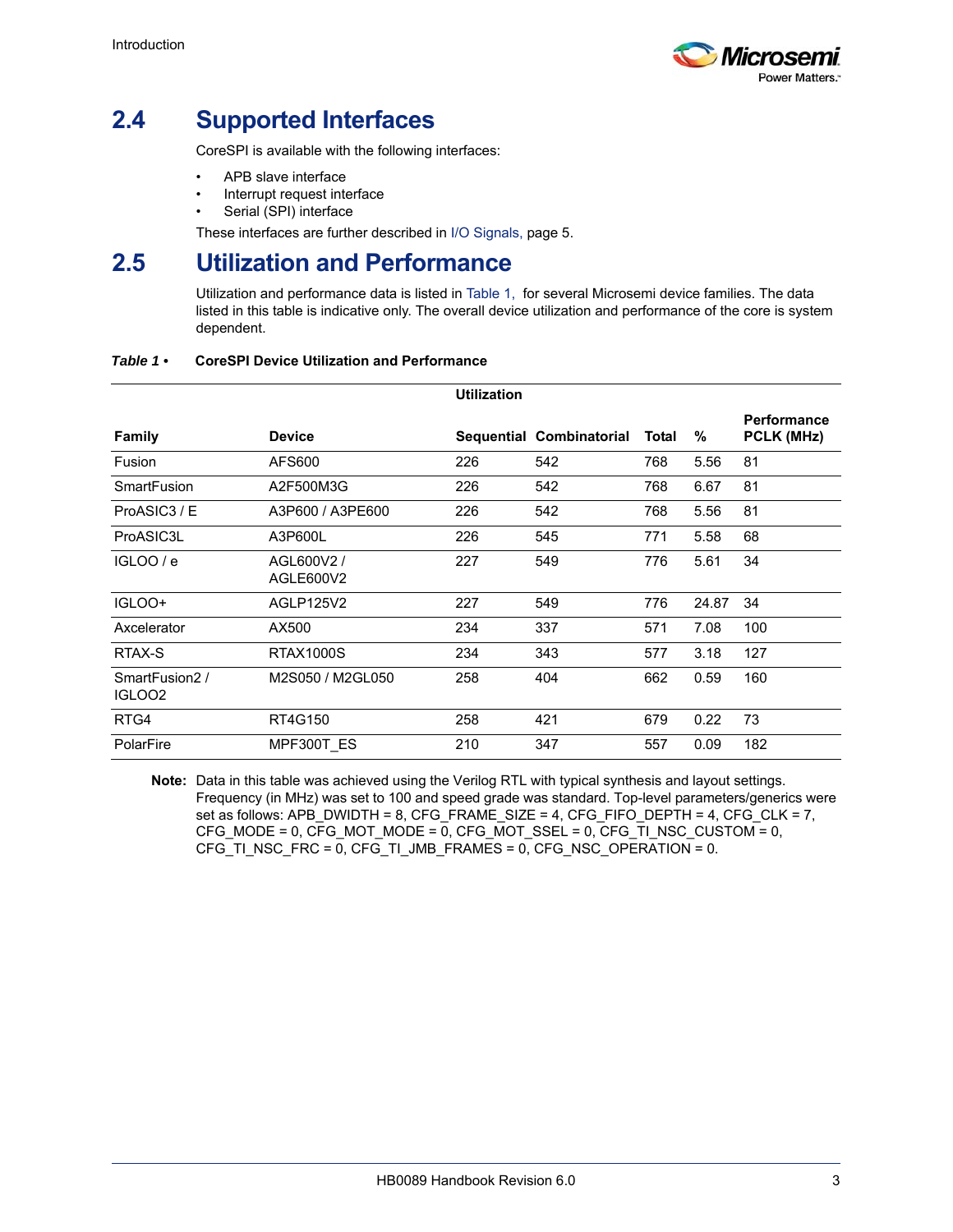

# <span id="page-8-0"></span>**2.4 Supported Interfaces**

CoreSPI is available with the following interfaces:

- APB slave interface
- Interrupt request interface
- Serial (SPI) interface

These interfaces are further described in [I/O Signals, page 5](#page-10-2).

### <span id="page-8-1"></span>**2.5 Utilization and Performance**

Utilization and performance data is listed in [Table 1,](#page-8-2) for several Microsemi device families. The data listed in this table is indicative only. The overall device utilization and performance of the core is system dependent.

|                                     |                         | <b>Utilization</b> |                          |       |       |                                  |
|-------------------------------------|-------------------------|--------------------|--------------------------|-------|-------|----------------------------------|
| <b>Family</b>                       | <b>Device</b>           |                    | Sequential Combinatorial | Total | %     | <b>Performance</b><br>PCLK (MHz) |
| Fusion                              | AFS600                  | 226                | 542                      | 768   | 5.56  | 81                               |
| <b>SmartFusion</b>                  | A2F500M3G               | 226                | 542                      | 768   | 6.67  | 81                               |
| ProASIC3 / E                        | A3P600 / A3PE600        | 226                | 542                      | 768   | 5.56  | 81                               |
| ProASIC3L                           | A3P600L                 | 226                | 545                      | 771   | 5.58  | 68                               |
| IGLOO / e                           | AGL600V2 /<br>AGLE600V2 | 227                | 549                      | 776   | 5.61  | 34                               |
| IGLOO+                              | AGLP125V2               | 227                | 549                      | 776   | 24.87 | 34                               |
| Axcelerator                         | AX500                   | 234                | 337                      | 571   | 7.08  | 100                              |
| RTAX-S                              | <b>RTAX1000S</b>        | 234                | 343                      | 577   | 3.18  | 127                              |
| SmartFusion2/<br>IGLOO <sub>2</sub> | M2S050 / M2GL050        | 258                | 404                      | 662   | 0.59  | 160                              |
| RTG4                                | RT4G150                 | 258                | 421                      | 679   | 0.22  | 73                               |
| PolarFire                           | MPF300T ES              | 210                | 347                      | 557   | 0.09  | 182                              |

#### <span id="page-8-2"></span>*Table 1 •* **CoreSPI Device Utilization and Performance**

**Note:** Data in this table was achieved using the Verilog RTL with typical synthesis and layout settings. Frequency (in MHz) was set to 100 and speed grade was standard. Top-level parameters/generics were set as follows: APB\_DWIDTH = 8, CFG\_FRAME\_SIZE = 4, CFG\_FIFO\_DEPTH = 4, CFG\_CLK = 7, CFG\_MODE = 0, CFG\_MOT\_MODE = 0, CFG\_MOT\_SSEL = 0, CFG\_TI\_NSC\_CUSTOM = 0, CFG\_TI\_NSC\_FRC = 0, CFG\_TI\_JMB\_FRAMES = 0, CFG\_NSC\_OPERATION =  $0$ .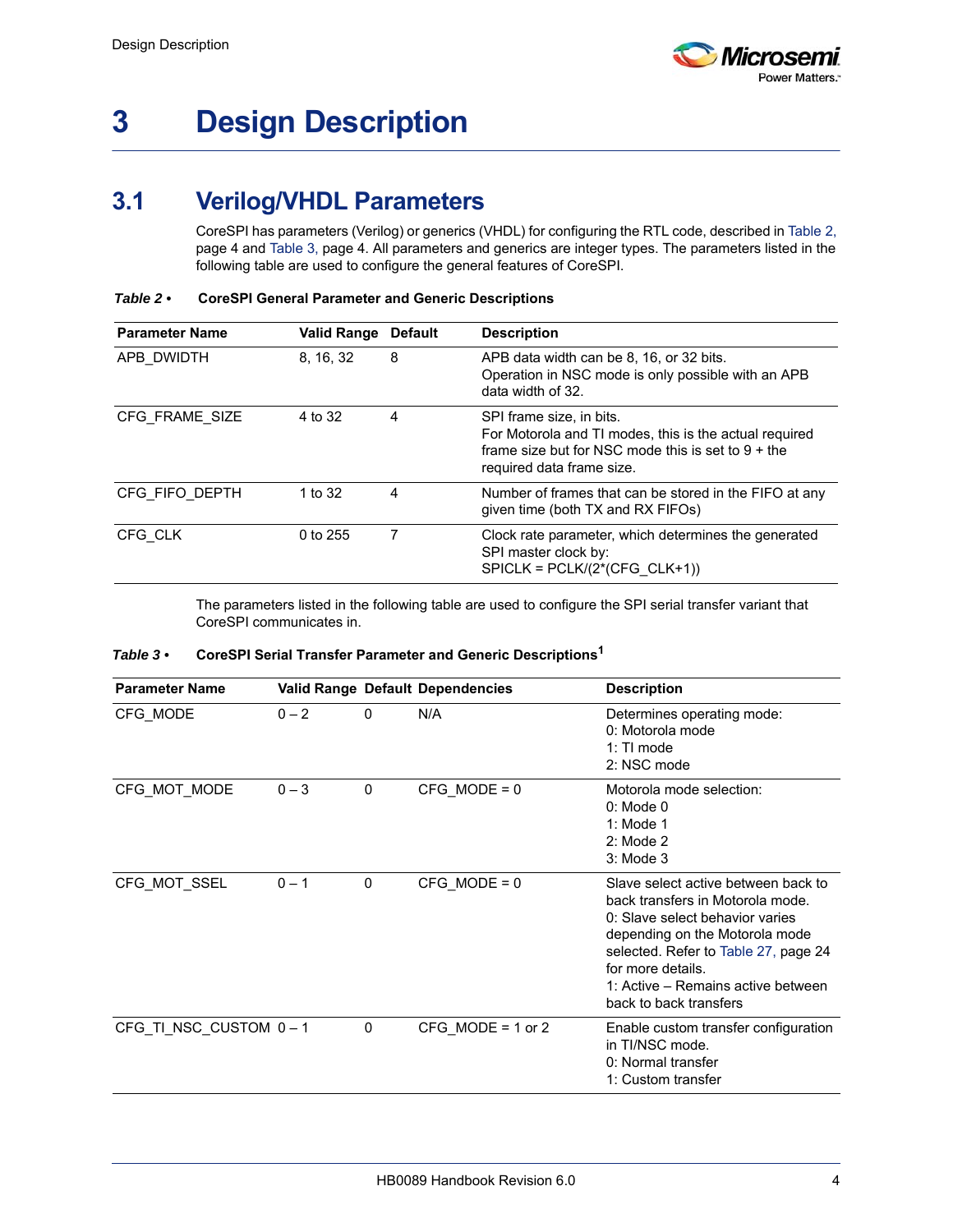# <span id="page-9-0"></span>**3 Design Description**

## <span id="page-9-1"></span>**3.1 Verilog/VHDL Parameters**

<span id="page-9-6"></span><span id="page-9-4"></span>CoreSPI has parameters (Verilog) or generics (VHDL) for configuring the RTL code, described in [Table 2,](#page-9-2)  [page 4](#page-9-2) and [Table 3, page 4.](#page-9-3) All parameters and generics are integer types. The parameters listed in the following table are used to configure the general features of CoreSPI.

| <b>Parameter Name</b> | <b>Valid Range</b> | <b>Default</b> | <b>Description</b>                                                                                                                                                      |
|-----------------------|--------------------|----------------|-------------------------------------------------------------------------------------------------------------------------------------------------------------------------|
| APB DWIDTH            | 8, 16, 32          | 8              | APB data width can be 8, 16, or 32 bits.<br>Operation in NSC mode is only possible with an APB<br>data width of 32.                                                     |
| CFG FRAME SIZE        | 4 to 32            | 4              | SPI frame size, in bits.<br>For Motorola and TI modes, this is the actual required<br>frame size but for NSC mode this is set to $9 +$ the<br>required data frame size. |
| CFG FIFO DEPTH        | 1 to 32            | 4              | Number of frames that can be stored in the FIFO at any<br>given time (both TX and RX FIFOs)                                                                             |
| CFG CLK               | 0 to 255           |                | Clock rate parameter, which determines the generated<br>SPI master clock by:<br>$SPICLK = PCLK/(2*(CFG CLK+1))$                                                         |

<span id="page-9-2"></span>*Table 2 •* **CoreSPI General Parameter and Generic Descriptions**

<span id="page-9-5"></span>The parameters listed in the following table are used to configure the SPI serial transfer variant that CoreSPI communicates in.

<span id="page-9-3"></span>

| Table $3 \cdot$ | CoreSPI Serial Transfer Parameter and Generic Descriptions <sup>1</sup> |  |
|-----------------|-------------------------------------------------------------------------|--|
|                 |                                                                         |  |

| <b>Parameter Name</b> |         |          | <b>Valid Range Default Dependencies</b> | <b>Description</b>                                                                                                                                                                                                                                                       |
|-----------------------|---------|----------|-----------------------------------------|--------------------------------------------------------------------------------------------------------------------------------------------------------------------------------------------------------------------------------------------------------------------------|
| CFG_MODE              | $0 - 2$ | 0        | N/A                                     | Determines operating mode:<br>0: Motorola mode<br>$1:$ TI mode<br>2: NSC mode                                                                                                                                                                                            |
| CFG_MOT_MODE          | $0 - 3$ | $\Omega$ | $CFG MODE = 0$                          | Motorola mode selection:<br>$0:$ Mode $0$<br>1: Mode $1$<br>$2:$ Mode $2$<br>$3:$ Mode $3$                                                                                                                                                                               |
| CFG_MOT_SSEL          | $0 - 1$ | 0        | $CFG MODE = 0$                          | Slave select active between back to<br>back transfers in Motorola mode.<br>0: Slave select behavior varies<br>depending on the Motorola mode<br>selected. Refer to Table 27, page 24<br>for more details<br>1: Active – Remains active between<br>back to back transfers |
| CFG_TI_NSC_CUSTOM 0-1 |         | 0        | CFG MODE = $1$ or $2$                   | Enable custom transfer configuration<br>in TI/NSC mode.<br>0: Normal transfer<br>1: Custom transfer                                                                                                                                                                      |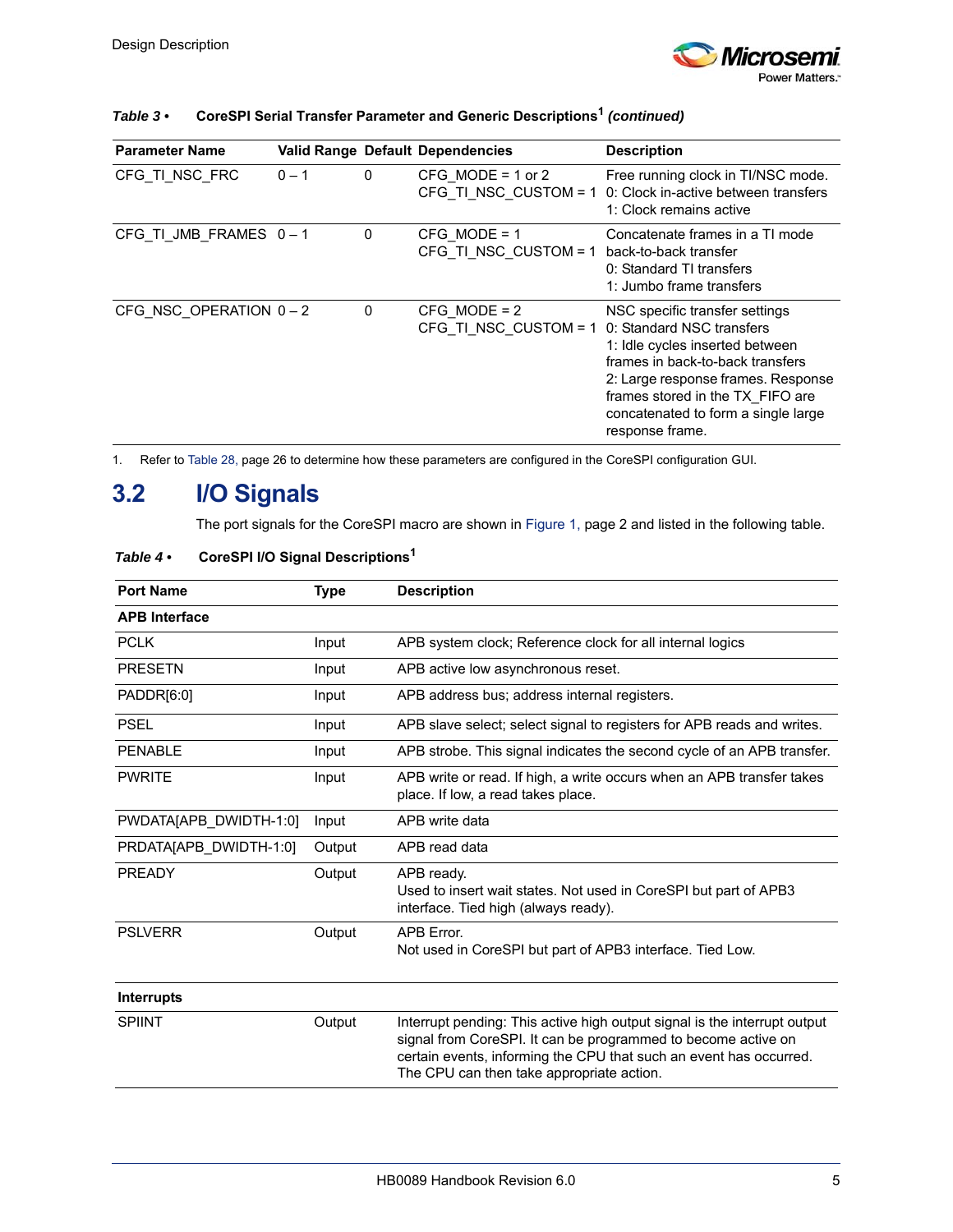

| <b>Parameter Name</b> |         |          | <b>Valid Range Default Dependencies</b> | <b>Description</b>                                                                                                                                                                                                                                                     |
|-----------------------|---------|----------|-----------------------------------------|------------------------------------------------------------------------------------------------------------------------------------------------------------------------------------------------------------------------------------------------------------------------|
| CFG TI NSC FRC        | $0 - 1$ | 0        | CFG MODE = $1$ or $2$                   | Free running clock in TI/NSC mode.<br>CFG TI NSC CUSTOM = $1$ 0: Clock in-active between transfers<br>1: Clock remains active                                                                                                                                          |
| CFG_TI_JMB_FRAMES 0-1 |         | 0        | $CFG MODE = 1$<br>CFG TI NSC CUSTOM = 1 | Concatenate frames in a TI mode<br>back-to-back transfer<br>0: Standard TI transfers<br>1: Jumbo frame transfers                                                                                                                                                       |
| CFG NSC OPERATION 0-2 |         | $\Omega$ | $CFG MODE = 2$<br>CFG TI NSC CUSTOM = 1 | NSC specific transfer settings<br>0: Standard NSC transfers<br>1: Idle cycles inserted between<br>frames in back-to-back transfers<br>2: Large response frames. Response<br>frames stored in the TX FIFO are<br>concatenated to form a single large<br>response frame. |

### *Table 3 •* **CoreSPI Serial Transfer Parameter and Generic Descriptions1** *(continued)*

1. Refer to [Table 28, page 26](#page-31-3) to determine how these parameters are configured in the CoreSPI configuration GUI.

### <span id="page-10-0"></span>**3.2 I/O Signals**

<span id="page-10-2"></span>The port signals for the CoreSPI macro are shown in [Figure 1, page 2](#page-7-5) and listed in the following table.

| <b>Port Name</b>       | <b>Type</b> | <b>Description</b>                                                                                                                                                                                                                                            |  |  |
|------------------------|-------------|---------------------------------------------------------------------------------------------------------------------------------------------------------------------------------------------------------------------------------------------------------------|--|--|
| <b>APB Interface</b>   |             |                                                                                                                                                                                                                                                               |  |  |
| <b>PCLK</b>            | Input       | APB system clock; Reference clock for all internal logics                                                                                                                                                                                                     |  |  |
| <b>PRESETN</b>         | Input       | APB active low asynchronous reset.                                                                                                                                                                                                                            |  |  |
| PADDR[6:0]             | Input       | APB address bus; address internal registers.                                                                                                                                                                                                                  |  |  |
| <b>PSEL</b>            | Input       | APB slave select; select signal to registers for APB reads and writes.                                                                                                                                                                                        |  |  |
| <b>PENABLE</b>         | Input       | APB strobe. This signal indicates the second cycle of an APB transfer.                                                                                                                                                                                        |  |  |
| <b>PWRITE</b>          | Input       | APB write or read. If high, a write occurs when an APB transfer takes<br>place. If low, a read takes place.                                                                                                                                                   |  |  |
| PWDATA[APB_DWIDTH-1:0] | Input       | APB write data                                                                                                                                                                                                                                                |  |  |
| PRDATA[APB_DWIDTH-1:0] | Output      | APB read data                                                                                                                                                                                                                                                 |  |  |
| PRFADY                 | Output      | APB ready.<br>Used to insert wait states. Not used in CoreSPI but part of APB3<br>interface. Tied high (always ready).                                                                                                                                        |  |  |
| <b>PSLVERR</b>         | Output      | APB Error.<br>Not used in CoreSPI but part of APB3 interface. Tied Low.                                                                                                                                                                                       |  |  |
| <b>Interrupts</b>      |             |                                                                                                                                                                                                                                                               |  |  |
| <b>SPIINT</b>          | Output      | Interrupt pending: This active high output signal is the interrupt output<br>signal from CoreSPI. It can be programmed to become active on<br>certain events, informing the CPU that such an event has occurred.<br>The CPU can then take appropriate action. |  |  |

#### <span id="page-10-1"></span>*Table 4 •* **CoreSPI I/O Signal Descriptions1**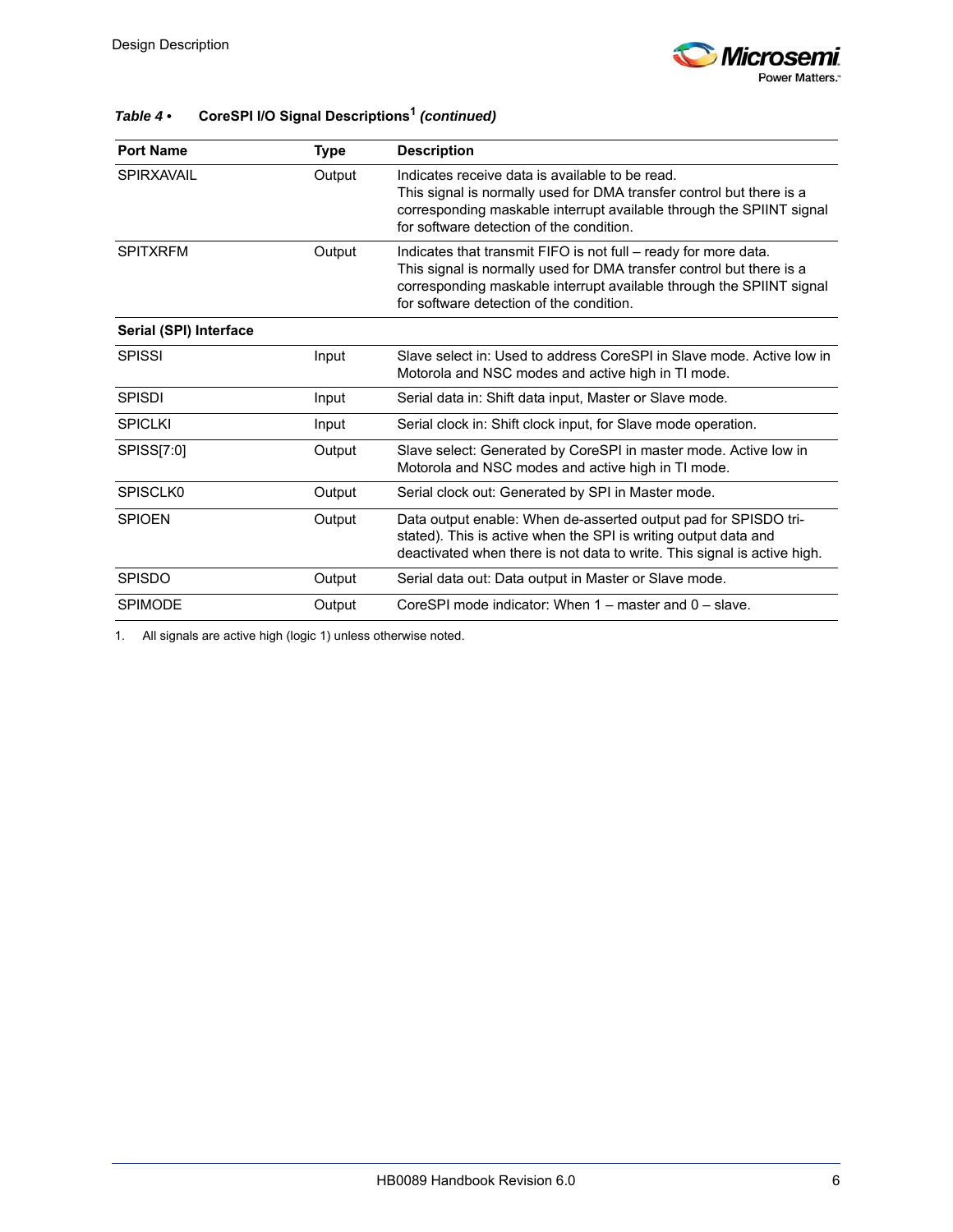

| <b>Port Name</b>          | <b>Type</b> | <b>Description</b>                                                                                                                                                                                                                                          |
|---------------------------|-------------|-------------------------------------------------------------------------------------------------------------------------------------------------------------------------------------------------------------------------------------------------------------|
| <b>SPIRXAVAIL</b>         | Output      | Indicates receive data is available to be read.<br>This signal is normally used for DMA transfer control but there is a<br>corresponding maskable interrupt available through the SPIINT signal<br>for software detection of the condition.                 |
| <b>SPITXRFM</b><br>Output |             | Indicates that transmit FIFO is not full – ready for more data.<br>This signal is normally used for DMA transfer control but there is a<br>corresponding maskable interrupt available through the SPIINT signal<br>for software detection of the condition. |
| Serial (SPI) Interface    |             |                                                                                                                                                                                                                                                             |
| <b>SPISSI</b>             | Input       | Slave select in: Used to address CoreSPI in Slave mode. Active low in<br>Motorola and NSC modes and active high in TI mode.                                                                                                                                 |
| <b>SPISDI</b>             | Input       | Serial data in: Shift data input, Master or Slave mode.                                                                                                                                                                                                     |
| <b>SPICLKI</b>            | Input       | Serial clock in: Shift clock input, for Slave mode operation.                                                                                                                                                                                               |
| SPISS[7:0]                | Output      | Slave select: Generated by CoreSPI in master mode. Active low in<br>Motorola and NSC modes and active high in TI mode.                                                                                                                                      |
| SPISCLK0                  | Output      | Serial clock out: Generated by SPI in Master mode.                                                                                                                                                                                                          |
| <b>SPIOEN</b>             | Output      | Data output enable: When de-asserted output pad for SPISDO tri-<br>stated). This is active when the SPI is writing output data and<br>deactivated when there is not data to write. This signal is active high.                                              |
| <b>SPISDO</b>             | Output      | Serial data out: Data output in Master or Slave mode.                                                                                                                                                                                                       |
| <b>SPIMODE</b>            | Output      | CoreSPI mode indicator: When 1 – master and 0 – slave.                                                                                                                                                                                                      |

### *Table 4 •* **CoreSPI I/O Signal Descriptions1** *(continued)*

1. All signals are active high (logic 1) unless otherwise noted.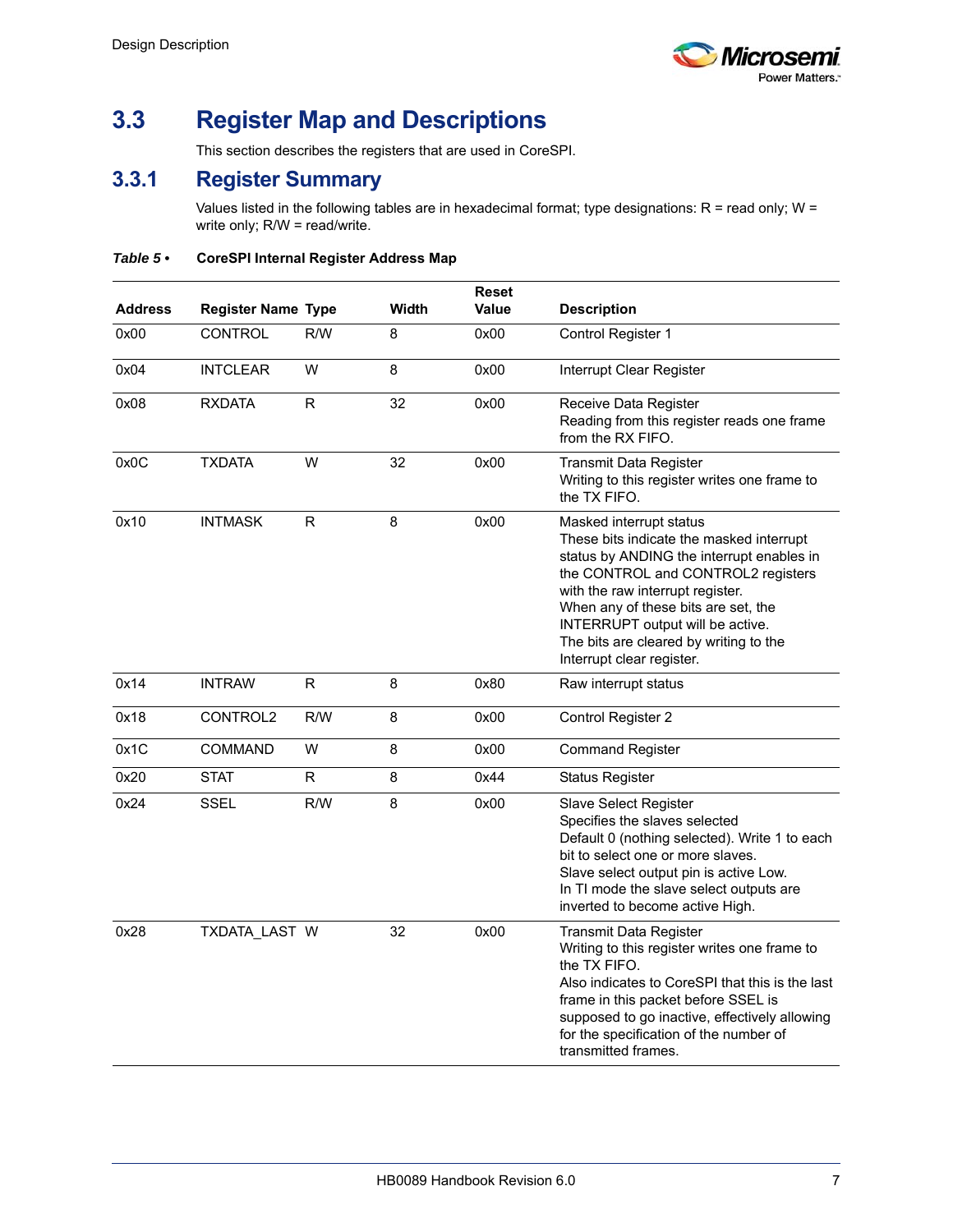

# <span id="page-12-0"></span>**3.3 Register Map and Descriptions**

This section describes the registers that are used in CoreSPI.

### <span id="page-12-1"></span>**3.3.1 Register Summary**

<span id="page-12-3"></span>Values listed in the following tables are in hexadecimal format; type designations:  $R =$  read only;  $W =$ write only; R/W = read/write.

<span id="page-12-2"></span>*Table 5 •* **CoreSPI Internal Register Address Map**

| <b>Address</b> | <b>Register Name Type</b> |              | Width | <b>Reset</b><br><b>Value</b> | <b>Description</b>                                                                                                                                                                                                                                                                                                                           |
|----------------|---------------------------|--------------|-------|------------------------------|----------------------------------------------------------------------------------------------------------------------------------------------------------------------------------------------------------------------------------------------------------------------------------------------------------------------------------------------|
| 0x00           | <b>CONTROL</b>            | R/W          | 8     | 0x00                         | Control Register 1                                                                                                                                                                                                                                                                                                                           |
| 0x04           | <b>INTCLEAR</b>           | W            | 8     | 0x00                         | Interrupt Clear Register                                                                                                                                                                                                                                                                                                                     |
| 0x08           | <b>RXDATA</b>             | $\mathsf{R}$ | 32    | 0x00                         | Receive Data Register<br>Reading from this register reads one frame<br>from the RX FIFO.                                                                                                                                                                                                                                                     |
| 0x0C           | <b>TXDATA</b>             | W            | 32    | 0x00                         | Transmit Data Register<br>Writing to this register writes one frame to<br>the TX FIFO.                                                                                                                                                                                                                                                       |
| 0x10           | <b>INTMASK</b>            | R            | 8     | 0x00                         | Masked interrupt status<br>These bits indicate the masked interrupt<br>status by ANDING the interrupt enables in<br>the CONTROL and CONTROL2 registers<br>with the raw interrupt register.<br>When any of these bits are set, the<br>INTERRUPT output will be active.<br>The bits are cleared by writing to the<br>Interrupt clear register. |
| 0x14           | <b>INTRAW</b>             | R            | 8     | 0x80                         | Raw interrupt status                                                                                                                                                                                                                                                                                                                         |
| 0x18           | CONTROL2                  | R/W          | 8     | 0x00                         | Control Register 2                                                                                                                                                                                                                                                                                                                           |
| 0x1C           | <b>COMMAND</b>            | W            | 8     | 0x00                         | <b>Command Register</b>                                                                                                                                                                                                                                                                                                                      |
| 0x20           | <b>STAT</b>               | R            | 8     | 0x44                         | <b>Status Register</b>                                                                                                                                                                                                                                                                                                                       |
| 0x24           | <b>SSEL</b>               | R/W          | 8     | 0x00                         | <b>Slave Select Register</b><br>Specifies the slaves selected<br>Default 0 (nothing selected). Write 1 to each<br>bit to select one or more slaves.<br>Slave select output pin is active Low.<br>In TI mode the slave select outputs are<br>inverted to become active High.                                                                  |
| 0x28           | TXDATA_LAST W             |              | 32    | 0x00                         | <b>Transmit Data Register</b><br>Writing to this register writes one frame to<br>the TX FIFO.<br>Also indicates to CoreSPI that this is the last<br>frame in this packet before SSEL is<br>supposed to go inactive, effectively allowing<br>for the specification of the number of<br>transmitted frames.                                    |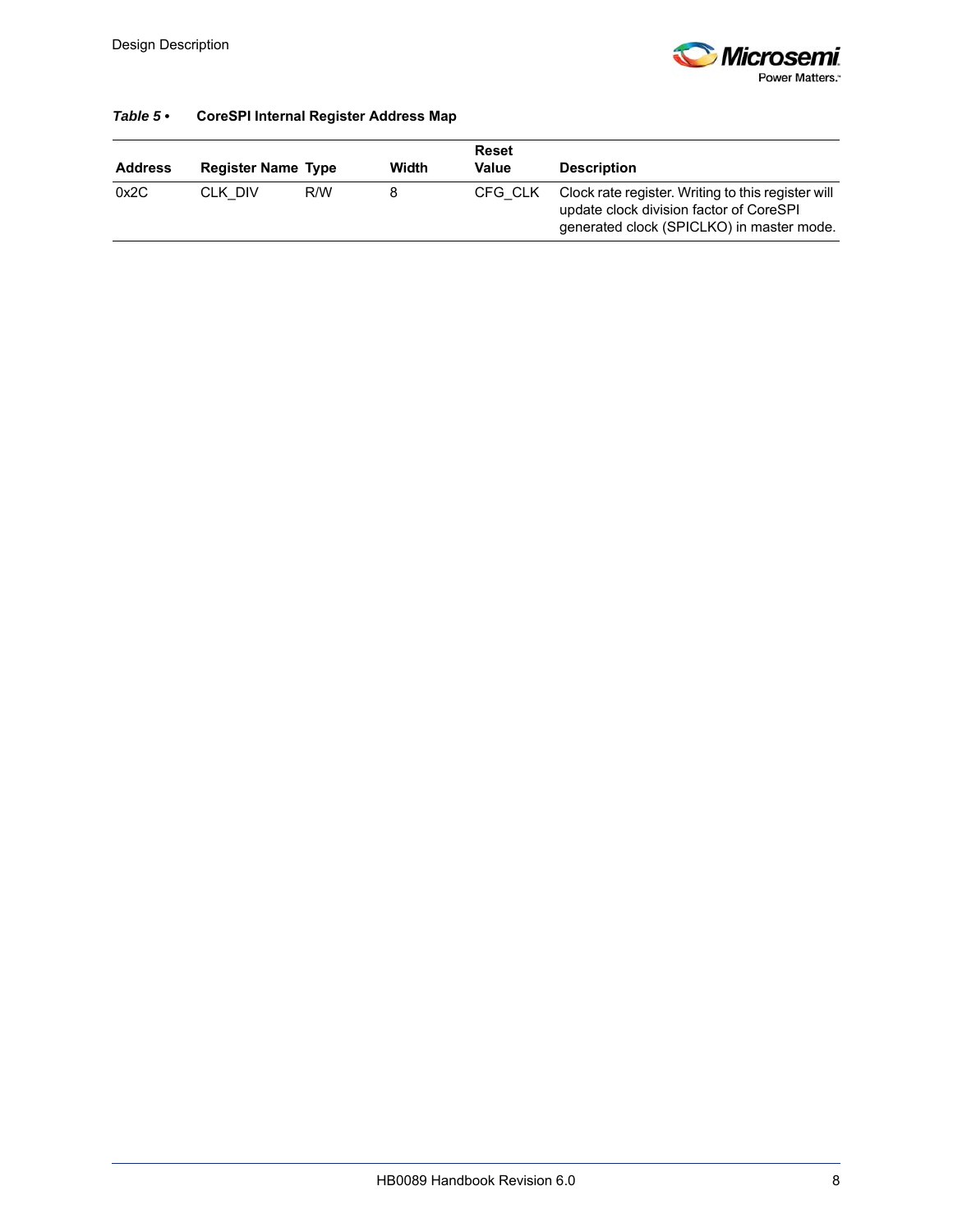

#### *Table 5 •* **CoreSPI Internal Register Address Map**

| <b>Address</b> | <b>Register Name Type</b> |     | Width | <b>Reset</b><br>Value | <b>Description</b>                                                                                                                         |
|----------------|---------------------------|-----|-------|-----------------------|--------------------------------------------------------------------------------------------------------------------------------------------|
| 0x2C           | CLK DIV                   | R/W |       | CFG CLK               | Clock rate register. Writing to this register will<br>update clock division factor of CoreSPI<br>generated clock (SPICLKO) in master mode. |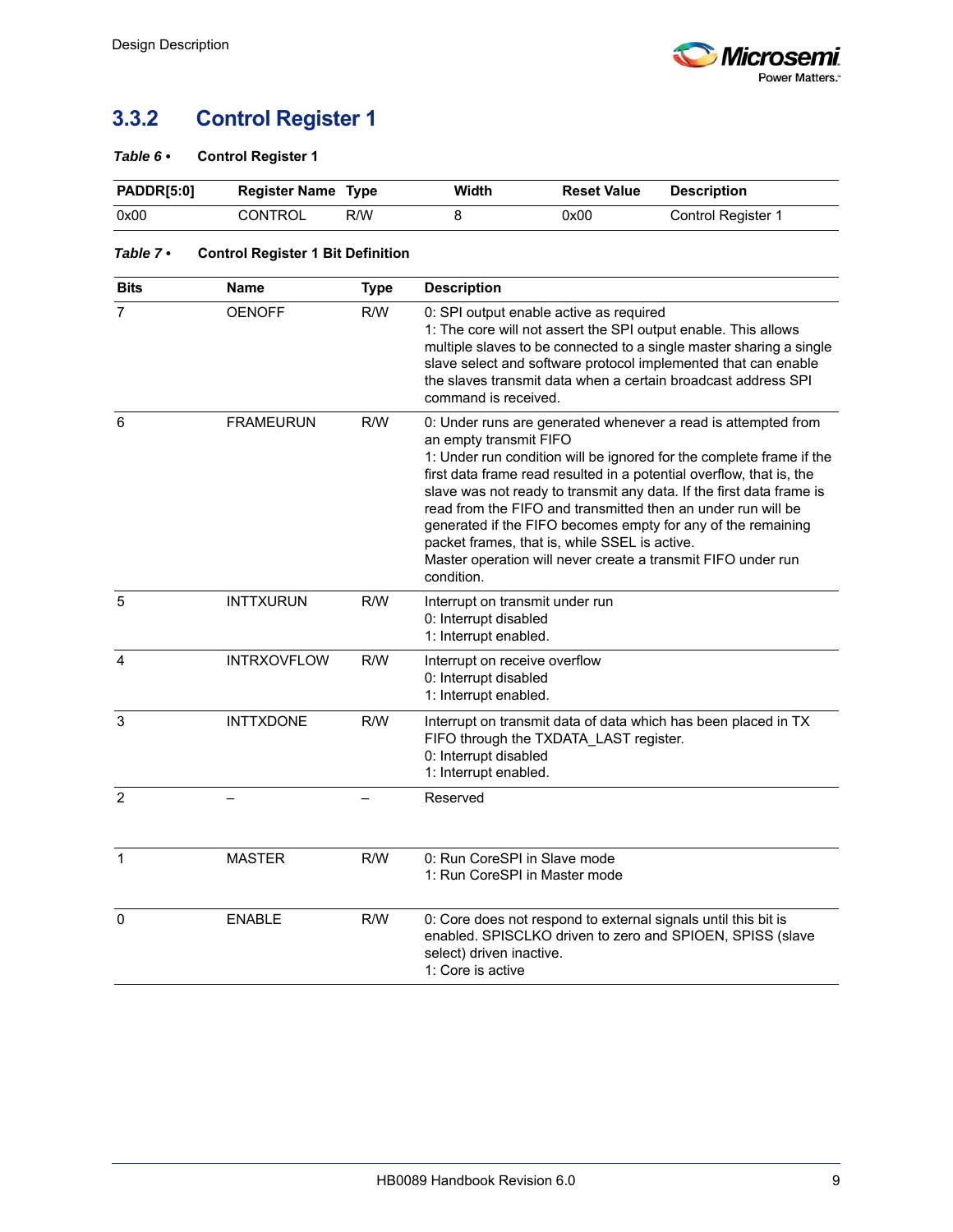# <span id="page-14-0"></span>**3.3.2 Control Register 1**

#### <span id="page-14-1"></span>*Table 6 •* **Control Register 1**

| <b>PADDR[5:0]</b> | <b>Register Name Type</b> |     | Width | <b>Reset Value</b> | Description        |
|-------------------|---------------------------|-----|-------|--------------------|--------------------|
| 0x00              | CONTROL                   | R/W |       | 0x00               | Control Register 1 |

#### <span id="page-14-2"></span>*Table 7 •* **Control Register 1 Bit Definition**

| <b>Bits</b>    | Name               | <b>Type</b> | <b>Description</b>                                                                                                                                                                                                                                                                                                                                                                                                                                                                                                                                                             |
|----------------|--------------------|-------------|--------------------------------------------------------------------------------------------------------------------------------------------------------------------------------------------------------------------------------------------------------------------------------------------------------------------------------------------------------------------------------------------------------------------------------------------------------------------------------------------------------------------------------------------------------------------------------|
| $\overline{7}$ | <b>OENOFF</b>      | R/W         | 0: SPI output enable active as required<br>1: The core will not assert the SPI output enable. This allows<br>multiple slaves to be connected to a single master sharing a single<br>slave select and software protocol implemented that can enable<br>the slaves transmit data when a certain broadcast address SPI<br>command is received.                                                                                                                                                                                                                                    |
| 6              | <b>FRAMEURUN</b>   | R/W         | 0: Under runs are generated whenever a read is attempted from<br>an empty transmit FIFO<br>1: Under run condition will be ignored for the complete frame if the<br>first data frame read resulted in a potential overflow, that is, the<br>slave was not ready to transmit any data. If the first data frame is<br>read from the FIFO and transmitted then an under run will be<br>generated if the FIFO becomes empty for any of the remaining<br>packet frames, that is, while SSEL is active.<br>Master operation will never create a transmit FIFO under run<br>condition. |
| 5              | <b>INTTXURUN</b>   | R/W         | Interrupt on transmit under run<br>0: Interrupt disabled<br>1: Interrupt enabled.                                                                                                                                                                                                                                                                                                                                                                                                                                                                                              |
| $\overline{4}$ | <b>INTRXOVFLOW</b> | R/W         | Interrupt on receive overflow<br>0: Interrupt disabled<br>1: Interrupt enabled.                                                                                                                                                                                                                                                                                                                                                                                                                                                                                                |
| $\overline{3}$ | <b>INTTXDONE</b>   | R/W         | Interrupt on transmit data of data which has been placed in TX<br>FIFO through the TXDATA_LAST register.<br>0: Interrupt disabled<br>1: Interrupt enabled.                                                                                                                                                                                                                                                                                                                                                                                                                     |
| $\overline{2}$ |                    |             | Reserved                                                                                                                                                                                                                                                                                                                                                                                                                                                                                                                                                                       |
| $\mathbf{1}$   | <b>MASTER</b>      | R/W         | 0: Run CoreSPI in Slave mode<br>1: Run CoreSPI in Master mode                                                                                                                                                                                                                                                                                                                                                                                                                                                                                                                  |
| $\Omega$       | <b>ENABLE</b>      | R/W         | 0: Core does not respond to external signals until this bit is<br>enabled. SPISCLKO driven to zero and SPIOEN, SPISS (slave<br>select) driven inactive.<br>1: Core is active                                                                                                                                                                                                                                                                                                                                                                                                   |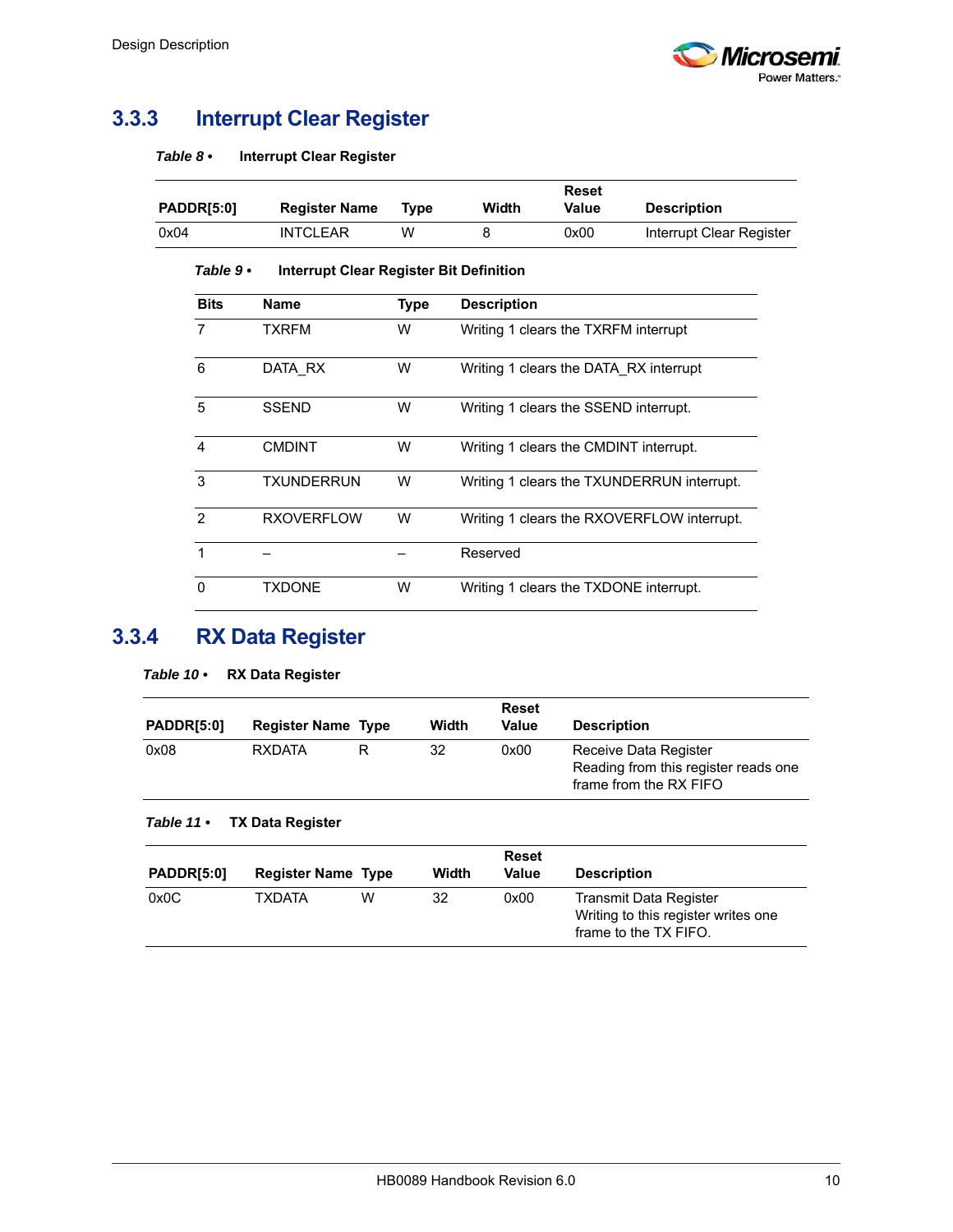

## <span id="page-15-0"></span>**3.3.3 Interrupt Clear Register**

<span id="page-15-2"></span>

| Table 8 • | <b>Interrupt Clear Register</b> |
|-----------|---------------------------------|
|-----------|---------------------------------|

| <b>PADDR[5:0]</b> | <b>Register Name</b> | Tvpe | Width | Reset<br>Value | <b>Description</b>       |
|-------------------|----------------------|------|-------|----------------|--------------------------|
| 0x04              | <b>INTCLEAR</b>      | w    |       | 0x00           | Interrupt Clear Register |

#### <span id="page-15-6"></span><span id="page-15-3"></span>*Table 9 •* **Interrupt Clear Register Bit Definition**

| <b>Bits</b> | <b>Name</b>       | <b>Type</b> | <b>Description</b>                         |
|-------------|-------------------|-------------|--------------------------------------------|
| 7           | <b>TXRFM</b>      | W           | Writing 1 clears the TXRFM interrupt       |
| 6           | DATA RX           | W           | Writing 1 clears the DATA RX interrupt     |
| 5           | <b>SSEND</b>      | W           | Writing 1 clears the SSEND interrupt.      |
| 4           | <b>CMDINT</b>     | W           | Writing 1 clears the CMDINT interrupt.     |
| 3           | TXUNDERRUN        | W           | Writing 1 clears the TXUNDERRUN interrupt. |
| 2           | <b>RXOVERFLOW</b> | W           | Writing 1 clears the RXOVERFLOW interrupt. |
| 1           |                   |             | Reserved                                   |
| $\Omega$    | <b>TXDONE</b>     | W           | Writing 1 clears the TXDONE interrupt.     |

# <span id="page-15-1"></span>**3.3.4 RX Data Register**

<span id="page-15-4"></span>

| <b>RX Data Register</b><br>Table 10 $\cdot$ |  |
|---------------------------------------------|--|
|---------------------------------------------|--|

| <b>PADDR[5:0]</b> | <b>Register Name Type</b> | Width | <b>Reset</b><br>Value | <b>Description</b>                                                                      |
|-------------------|---------------------------|-------|-----------------------|-----------------------------------------------------------------------------------------|
| 0x08              | <b>RXDATA</b>             | 32    | 0x00                  | Receive Data Register<br>Reading from this register reads one<br>frame from the RX FIFO |

#### <span id="page-15-5"></span>*Table 11 •* **TX Data Register**

| <b>PADDR[5:0]</b> | <b>Register Name Type</b> |   | Width | <b>Reset</b><br>Value | <b>Description</b>                                                                     |
|-------------------|---------------------------|---|-------|-----------------------|----------------------------------------------------------------------------------------|
| 0x0C              | <b>TXDATA</b>             | W | 32    | 0x00                  | Transmit Data Register<br>Writing to this register writes one<br>frame to the TX FIFO. |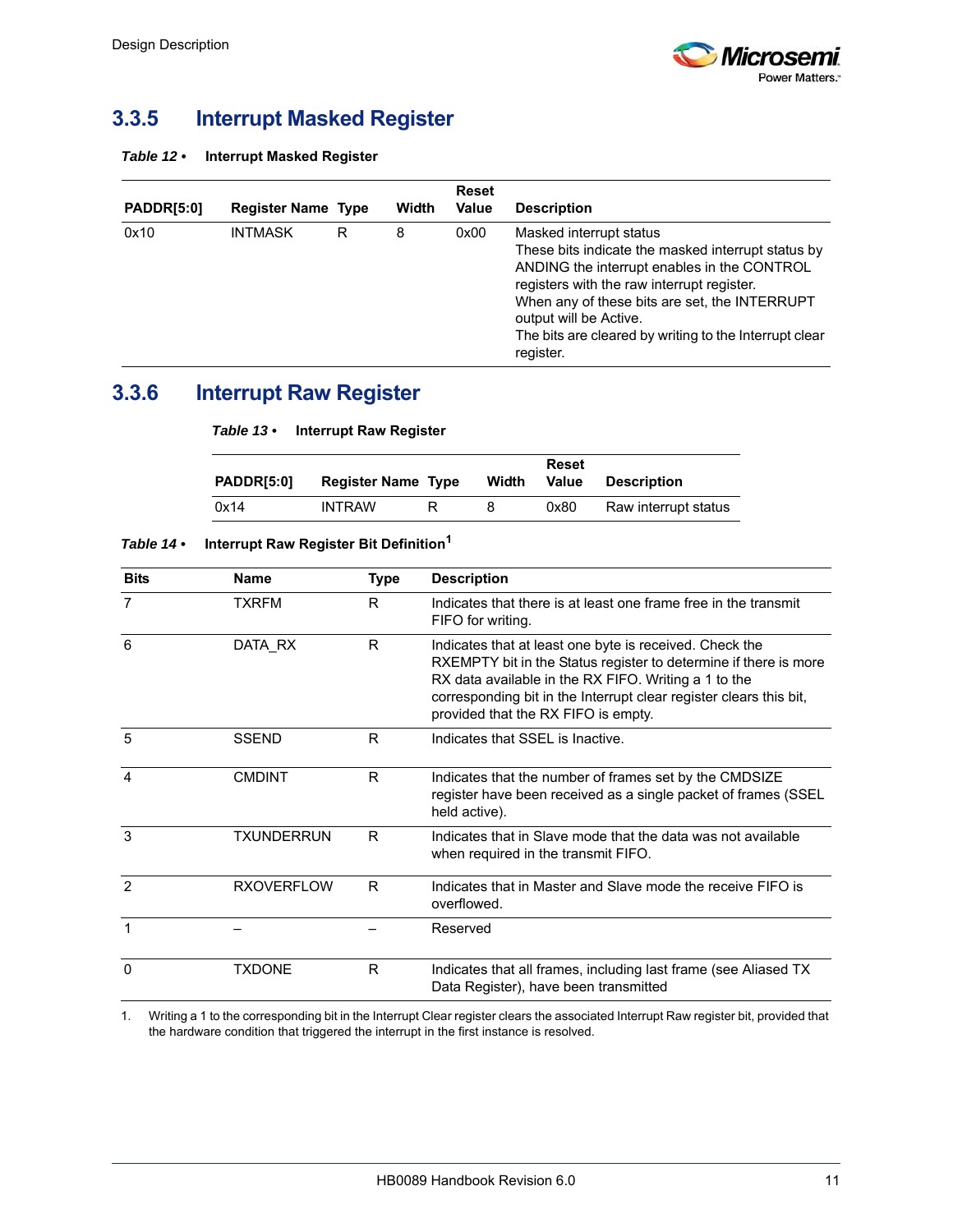

### <span id="page-16-0"></span>**3.3.5 Interrupt Masked Register**

<span id="page-16-2"></span>

| Table 12 $\cdot$ | <b>Interrupt Masked Register</b> |
|------------------|----------------------------------|
|------------------|----------------------------------|

| <b>PADDR[5:0]</b> | <b>Register Name Type</b> |   | Width | <b>Reset</b><br><b>Value</b> | <b>Description</b>                                                                                                                                                                                                                                                                                                           |
|-------------------|---------------------------|---|-------|------------------------------|------------------------------------------------------------------------------------------------------------------------------------------------------------------------------------------------------------------------------------------------------------------------------------------------------------------------------|
| 0x10              | <b>INTMASK</b>            | R | 8     | 0x00                         | Masked interrupt status<br>These bits indicate the masked interrupt status by<br>ANDING the interrupt enables in the CONTROL<br>registers with the raw interrupt register.<br>When any of these bits are set, the INTERRUPT<br>output will be Active.<br>The bits are cleared by writing to the Interrupt clear<br>register. |

### <span id="page-16-1"></span>**3.3.6 Interrupt Raw Register**

<span id="page-16-5"></span>

| PADDRI5:01 | <b>Register Name Type</b> | Width | Reset<br>Value | <b>Description</b>   |
|------------|---------------------------|-------|----------------|----------------------|
| 0x14       | <b>INTRAW</b>             | 8     | 0x80           | Raw interrupt status |

#### <span id="page-16-4"></span>*Table 14 •* **Interrupt Raw Register Bit Definition<sup>1</sup>**

<span id="page-16-3"></span>*Table 13 •* **Interrupt Raw Register**

| <b>Bits</b>    | <b>Name</b>       | <b>Type</b> | <b>Description</b>                                                                                                                                                                                                                                                                               |  |
|----------------|-------------------|-------------|--------------------------------------------------------------------------------------------------------------------------------------------------------------------------------------------------------------------------------------------------------------------------------------------------|--|
| $\overline{7}$ | <b>TXRFM</b>      | R           | Indicates that there is at least one frame free in the transmit<br>FIFO for writing.                                                                                                                                                                                                             |  |
| 6              | DATA RX           | R           | Indicates that at least one byte is received. Check the<br>RXEMPTY bit in the Status register to determine if there is more<br>RX data available in the RX FIFO. Writing a 1 to the<br>corresponding bit in the Interrupt clear register clears this bit,<br>provided that the RX FIFO is empty. |  |
| 5              | <b>SSEND</b>      | R           | Indicates that SSFI is Inactive.                                                                                                                                                                                                                                                                 |  |
| $\overline{4}$ | <b>CMDINT</b>     | R           | Indicates that the number of frames set by the CMDSIZE<br>register have been received as a single packet of frames (SSEL<br>held active).                                                                                                                                                        |  |
| 3              | TXUNDERRUN        | R           | Indicates that in Slave mode that the data was not available<br>when required in the transmit FIFO.                                                                                                                                                                                              |  |
| 2              | <b>RXOVERFLOW</b> | R           | Indicates that in Master and Slave mode the receive FIFO is<br>overflowed.                                                                                                                                                                                                                       |  |
| $\mathbf 1$    |                   |             | Reserved                                                                                                                                                                                                                                                                                         |  |
| 0              | <b>TXDONE</b>     | R           | Indicates that all frames, including last frame (see Aliased TX<br>Data Register), have been transmitted                                                                                                                                                                                         |  |

1. Writing a 1 to the corresponding bit in the Interrupt Clear register clears the associated Interrupt Raw register bit, provided that the hardware condition that triggered the interrupt in the first instance is resolved.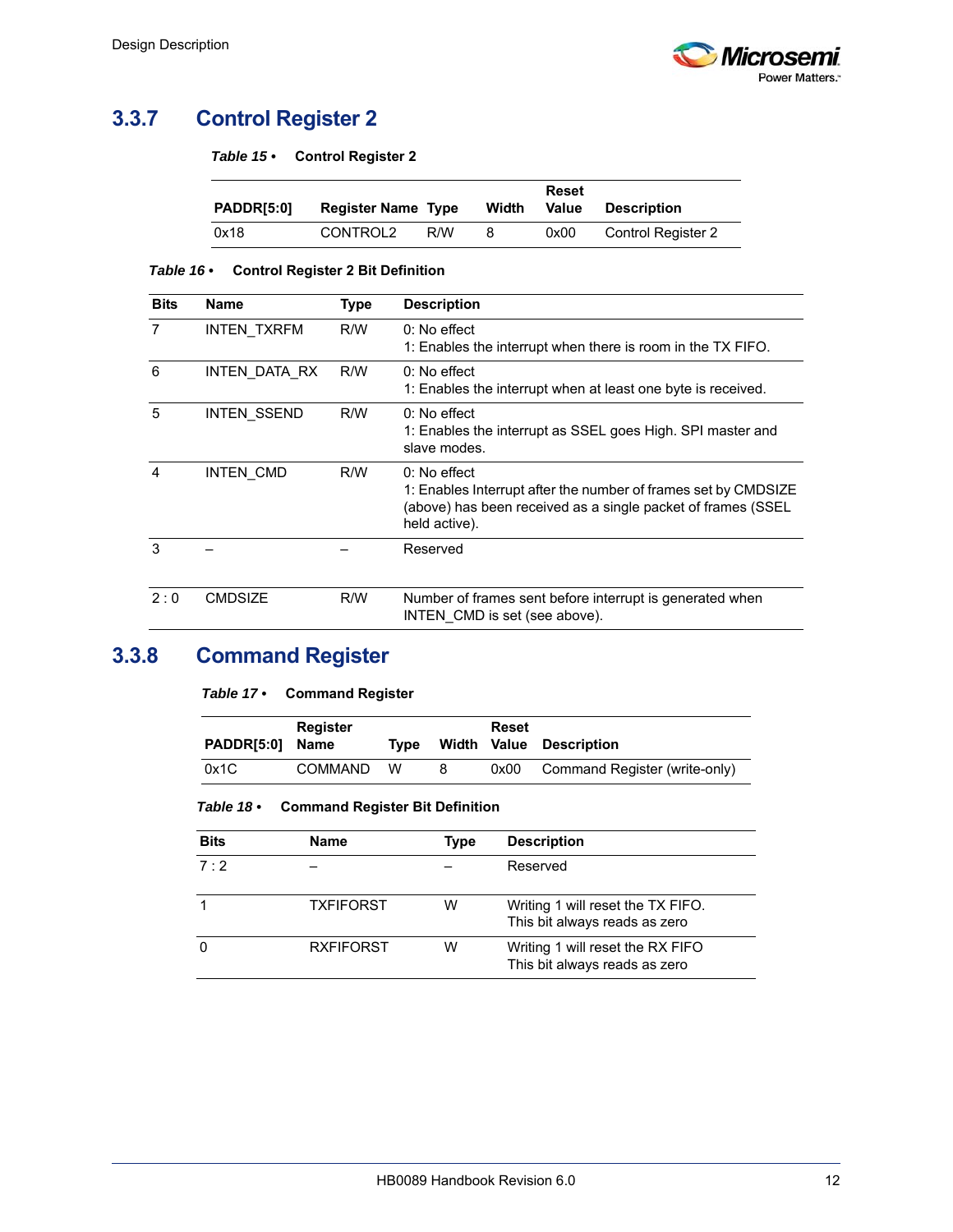

## <span id="page-17-0"></span>**3.3.7 Control Register 2**

<span id="page-17-2"></span>

| Table 15 $\cdot$ |  | <b>Control Register 2</b> |
|------------------|--|---------------------------|
|------------------|--|---------------------------|

<span id="page-17-6"></span>

| PADDRI5:01 | <b>Register Name Type</b> |     | Width | Reset<br>Value | Description               |
|------------|---------------------------|-----|-------|----------------|---------------------------|
| 0x18       | CONTROL2                  | R/W | 8     | 0x00           | <b>Control Register 2</b> |

#### <span id="page-17-3"></span>*Table 16 •* **Control Register 2 Bit Definition**

| <b>Bits</b>    | <b>Name</b>        | <b>Type</b> | <b>Description</b>                                                                                                                                                |
|----------------|--------------------|-------------|-------------------------------------------------------------------------------------------------------------------------------------------------------------------|
| $\overline{7}$ | <b>INTEN TXRFM</b> | R/W         | $0:$ No effect<br>1: Enables the interrupt when there is room in the TX FIFO.                                                                                     |
| 6              | INTEN DATA RX      | R/W         | $0:$ No effect<br>1: Enables the interrupt when at least one byte is received.                                                                                    |
| 5              | <b>INTEN SSEND</b> | R/W         | $0:$ No effect<br>1: Enables the interrupt as SSEL goes High. SPI master and<br>slave modes.                                                                      |
| 4              | INTEN CMD          | R/W         | $0:$ No effect<br>1: Enables Interrupt after the number of frames set by CMDSIZE<br>(above) has been received as a single packet of frames (SSEL<br>held active). |
| 3              |                    |             | Reserved                                                                                                                                                          |
| 2:0            | <b>CMDSIZE</b>     | R/W         | Number of frames sent before interrupt is generated when<br>INTEN CMD is set (see above).                                                                         |

## <span id="page-17-1"></span>**3.3.8 Command Register**

<span id="page-17-4"></span>

| <b>PADDR[5:0]</b> | Register<br>Name | Tvpe |   | Reset | Width Value Description       |
|-------------------|------------------|------|---|-------|-------------------------------|
| 0x1C              | <b>COMMAND</b>   | w    | 8 | 0x00  | Command Register (write-only) |

<span id="page-17-5"></span>*Table 18 •* **Command Register Bit Definition**

| <b>Bits</b> | <b>Name</b>      | <b>Type</b> | <b>Description</b>                                                 |
|-------------|------------------|-------------|--------------------------------------------------------------------|
| 7:2         |                  |             | Reserved                                                           |
|             | <b>TXFIFORST</b> | w           | Writing 1 will reset the TX FIFO.<br>This bit always reads as zero |
| 0           | <b>RXFIFORST</b> | w           | Writing 1 will reset the RX FIFO<br>This bit always reads as zero  |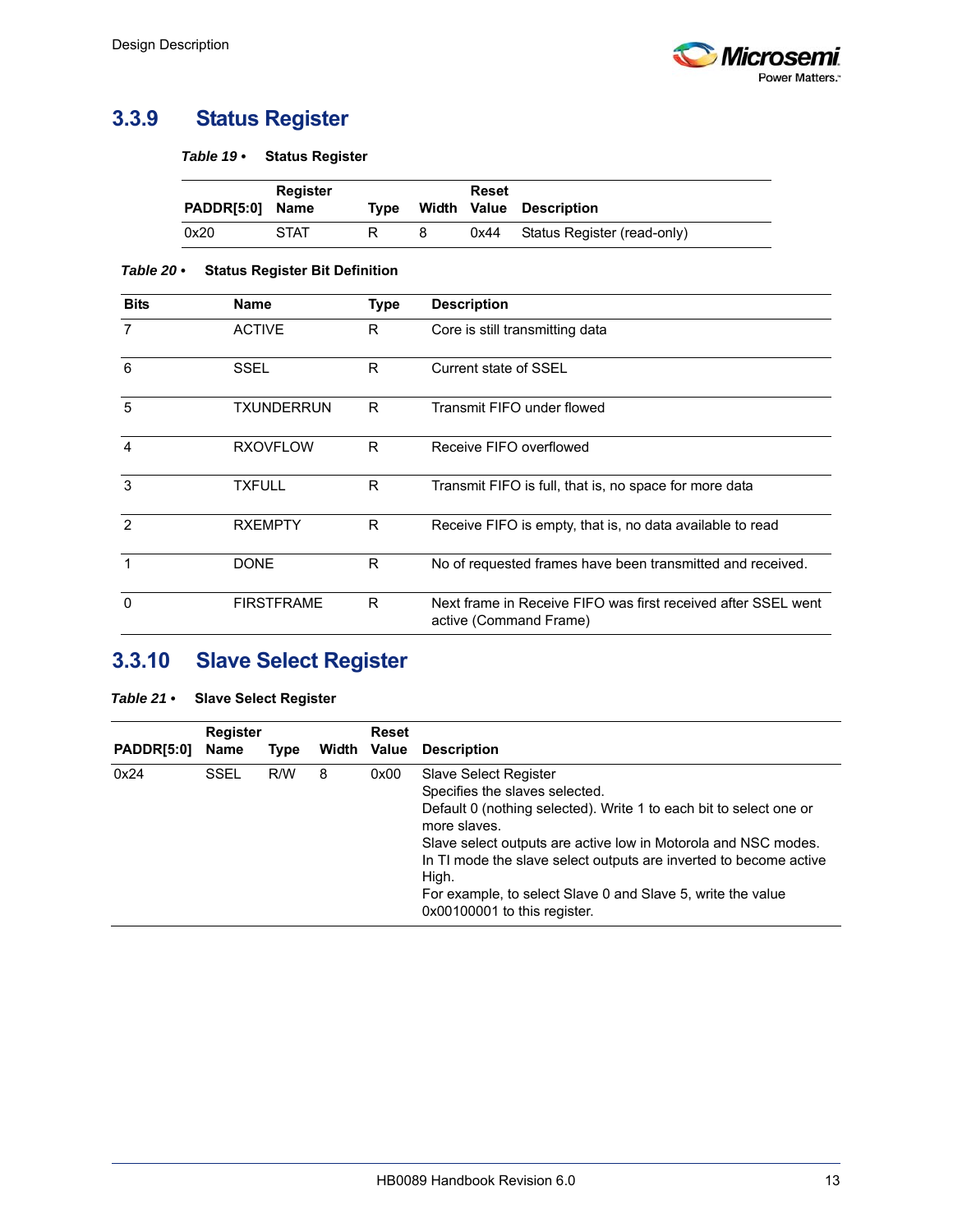

### <span id="page-18-0"></span>**3.3.9 Status Register**

<span id="page-18-2"></span>*Table 19 •* **Status Register**

|                 | <b>Register</b> |      |   | Reset |                             |
|-----------------|-----------------|------|---|-------|-----------------------------|
| PADDR[5:0] Name |                 | Tvpe |   |       | Width Value Description     |
| 0x20            | <b>STAT</b>     |      | 8 | 0x44  | Status Register (read-only) |

#### <span id="page-18-3"></span>*Table 20 •* **Status Register Bit Definition**

| <b>Bits</b>    | <b>Name</b>       | <b>Type</b> | <b>Description</b>                                                                      |
|----------------|-------------------|-------------|-----------------------------------------------------------------------------------------|
| 7              | <b>ACTIVE</b>     | R.          | Core is still transmitting data                                                         |
| 6              | SSEL              | R           | Current state of SSEL                                                                   |
| 5              | <b>TXUNDERRUN</b> | R           | Transmit FIFO under flowed                                                              |
| $\overline{4}$ | <b>RXOVFLOW</b>   | R           | Receive FIFO overflowed                                                                 |
| 3              | <b>TXFULL</b>     | R           | Transmit FIFO is full, that is, no space for more data                                  |
| $\mathcal{P}$  | <b>RXEMPTY</b>    | R           | Receive FIFO is empty, that is, no data available to read                               |
| 1              | <b>DONE</b>       | R           | No of requested frames have been transmitted and received.                              |
| $\Omega$       | <b>FIRSTFRAME</b> | R           | Next frame in Receive FIFO was first received after SSEL went<br>active (Command Frame) |

## <span id="page-18-1"></span>**3.3.10 Slave Select Register**

#### <span id="page-18-4"></span>*Table 21 •* **Slave Select Register**

|                   | <b>Register</b> |      |   | <b>Reset</b> |                                                                                                                                                                                                                                                                                                                                                                                                     |
|-------------------|-----------------|------|---|--------------|-----------------------------------------------------------------------------------------------------------------------------------------------------------------------------------------------------------------------------------------------------------------------------------------------------------------------------------------------------------------------------------------------------|
| <b>PADDR[5:0]</b> | <b>Name</b>     | Type |   | Width Value  | <b>Description</b>                                                                                                                                                                                                                                                                                                                                                                                  |
| 0x24              | SSEL            | R/W  | 8 | 0x00         | <b>Slave Select Register</b><br>Specifies the slaves selected.<br>Default 0 (nothing selected). Write 1 to each bit to select one or<br>more slaves.<br>Slave select outputs are active low in Motorola and NSC modes.<br>In TI mode the slave select outputs are inverted to become active<br>High.<br>For example, to select Slave 0 and Slave 5, write the value<br>0x00100001 to this register. |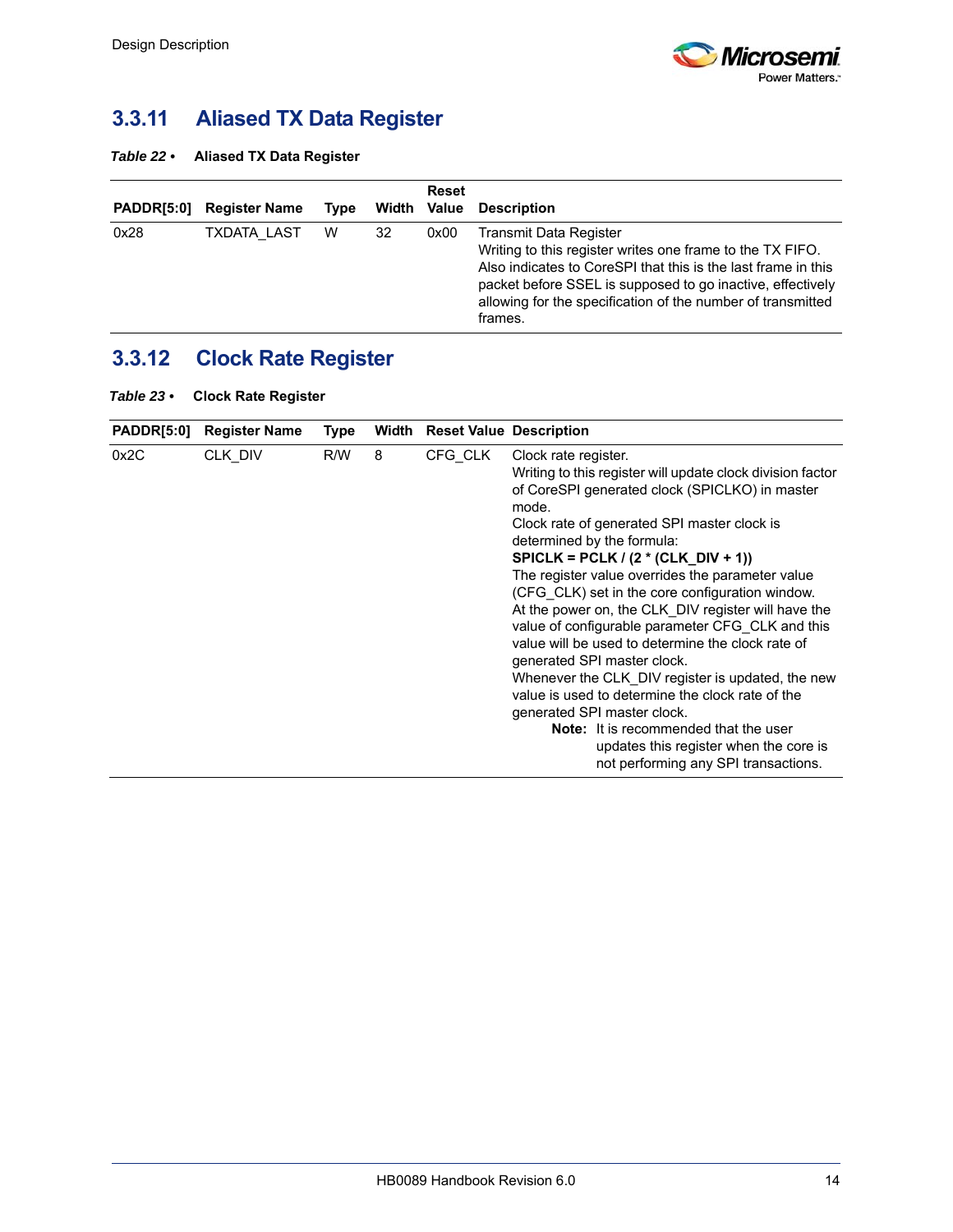

# <span id="page-19-0"></span>**3.3.11 Aliased TX Data Register**

<span id="page-19-2"></span>

| Table 22 $\cdot$ |  | <b>Aliased TX Data Register</b> |
|------------------|--|---------------------------------|
|------------------|--|---------------------------------|

| <b>PADDR[5:0]</b> | <b>Register Name</b> | <b>Type</b> | Width Value | <b>Reset</b> | <b>Description</b>                                                                                                                                                                                                                                                                           |
|-------------------|----------------------|-------------|-------------|--------------|----------------------------------------------------------------------------------------------------------------------------------------------------------------------------------------------------------------------------------------------------------------------------------------------|
| 0x28              | <b>TXDATA LAST</b>   | W           | 32          | 0x00         | Transmit Data Register<br>Writing to this register writes one frame to the TX FIFO.<br>Also indicates to CoreSPI that this is the last frame in this<br>packet before SSEL is supposed to go inactive, effectively<br>allowing for the specification of the number of transmitted<br>frames. |

# <span id="page-19-1"></span>**3.3.12 Clock Rate Register**

<span id="page-19-3"></span>

| Table 23 $\cdot$ | <b>Clock Rate Register</b> |  |
|------------------|----------------------------|--|
|------------------|----------------------------|--|

| <b>PADDR[5:0]</b> | <b>Register Name</b> | Type |   | <b>Width Reset Value Description</b> |                                                                                                                                                                                                                                                                                                                                                                                                                                                                                                                                                                                                                                                                                                                                                                                                                                                     |
|-------------------|----------------------|------|---|--------------------------------------|-----------------------------------------------------------------------------------------------------------------------------------------------------------------------------------------------------------------------------------------------------------------------------------------------------------------------------------------------------------------------------------------------------------------------------------------------------------------------------------------------------------------------------------------------------------------------------------------------------------------------------------------------------------------------------------------------------------------------------------------------------------------------------------------------------------------------------------------------------|
| 0x2C              | CLK DIV              | R/W  | 8 | CFG CLK                              | Clock rate register.<br>Writing to this register will update clock division factor<br>of CoreSPI generated clock (SPICLKO) in master<br>mode.<br>Clock rate of generated SPI master clock is<br>determined by the formula:<br>SPICLK = PCLK / $(2 * (CLK_DIV + 1))$<br>The register value overrides the parameter value<br>(CFG CLK) set in the core configuration window.<br>At the power on, the CLK DIV register will have the<br>value of configurable parameter CFG CLK and this<br>value will be used to determine the clock rate of<br>generated SPI master clock.<br>Whenever the CLK_DIV register is updated, the new<br>value is used to determine the clock rate of the<br>generated SPI master clock.<br><b>Note:</b> It is recommended that the user<br>updates this register when the core is<br>not performing any SPI transactions. |
|                   |                      |      |   |                                      |                                                                                                                                                                                                                                                                                                                                                                                                                                                                                                                                                                                                                                                                                                                                                                                                                                                     |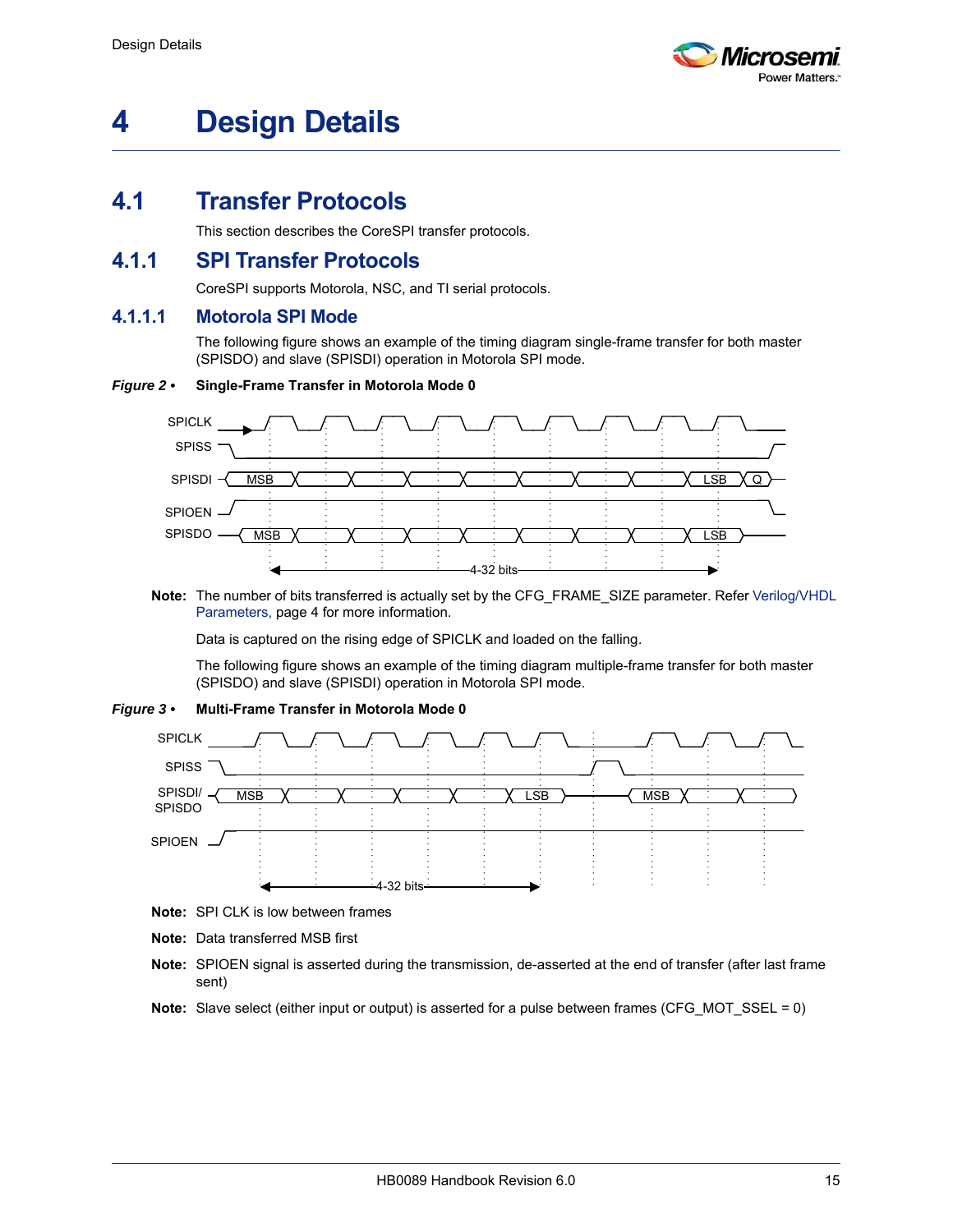

# <span id="page-20-0"></span>**4 Design Details**

### <span id="page-20-1"></span>**4.1 Transfer Protocols**

This section describes the CoreSPI transfer protocols.

### <span id="page-20-2"></span>**4.1.1 SPI Transfer Protocols**

CoreSPI supports Motorola, NSC, and TI serial protocols.

#### **4.1.1.1 Motorola SPI Mode**

The following figure shows an example of the timing diagram single-frame transfer for both master (SPISDO) and slave (SPISDI) operation in Motorola SPI mode.

#### <span id="page-20-3"></span>*Figure 2 •* **Single-Frame Transfer in Motorola Mode 0**



**Note:** The number of bits transferred is actually set by the CFG\_FRAME\_SIZE parameter. Refer [Verilog/VHDL](#page-9-6)  [Parameters, page 4](#page-9-6) for more information.

Data is captured on the rising edge of SPICLK and loaded on the falling.

The following figure shows an example of the timing diagram multiple-frame transfer for both master (SPISDO) and slave (SPISDI) operation in Motorola SPI mode.

#### <span id="page-20-4"></span>*Figure 3 •* **Multi-Frame Transfer in Motorola Mode 0**



- **Note:** SPI CLK is low between frames
- **Note:** Data transferred MSB first
- **Note:** SPIOEN signal is asserted during the transmission, de-asserted at the end of transfer (after last frame sent)
- **Note:** Slave select (either input or output) is asserted for a pulse between frames (CFG\_MOT\_SSEL = 0)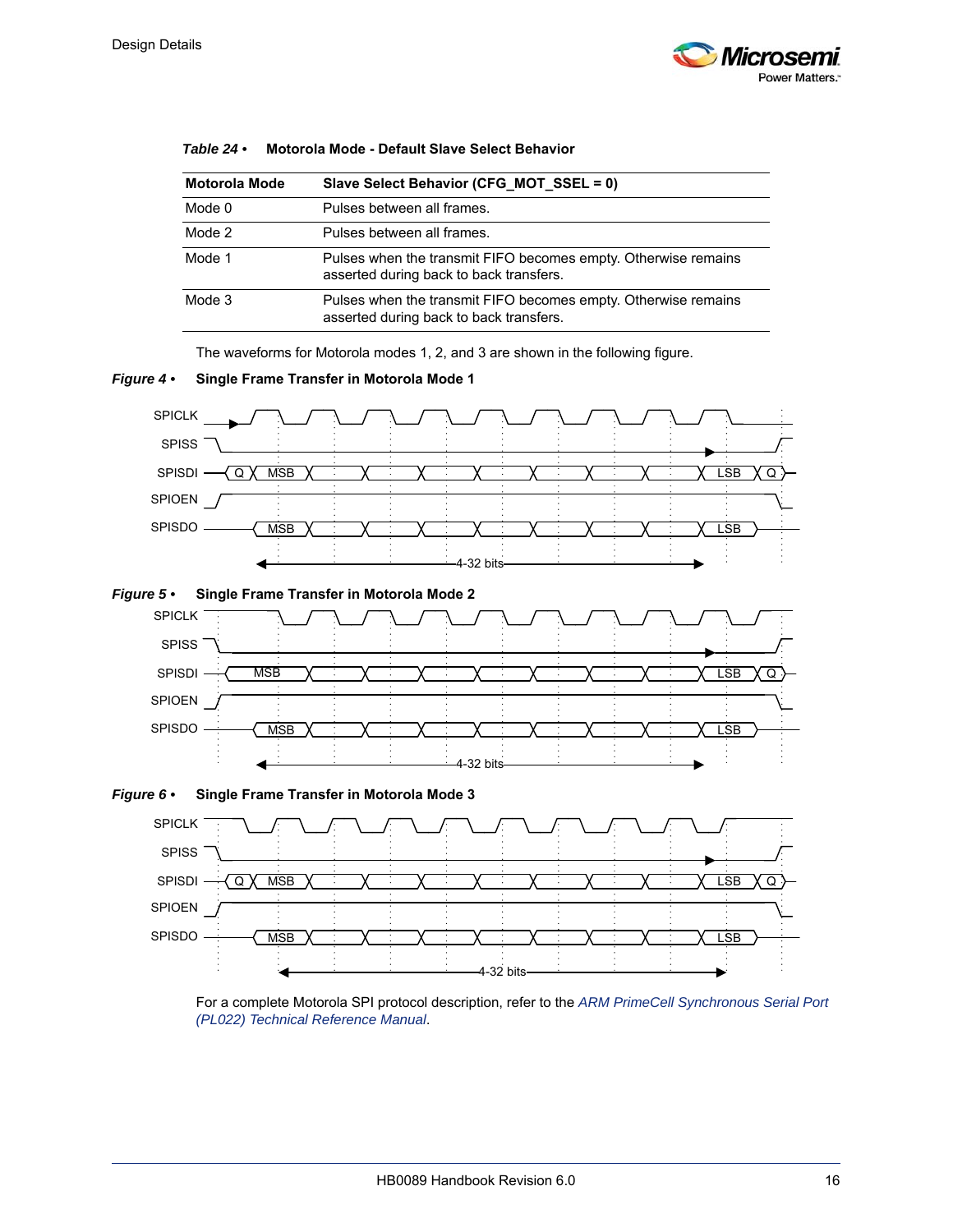

| <b>Motorola Mode</b> | Slave Select Behavior (CFG MOT SSEL = 0)                                                                  |
|----------------------|-----------------------------------------------------------------------------------------------------------|
| Mode 0               | Pulses between all frames.                                                                                |
| Mode 2               | Pulses between all frames.                                                                                |
| Mode 1               | Pulses when the transmit FIFO becomes empty. Otherwise remains<br>asserted during back to back transfers. |
| Mode 3               | Pulses when the transmit FIFO becomes empty. Otherwise remains<br>asserted during back to back transfers. |

#### <span id="page-21-3"></span>*Table 24 •* **Motorola Mode - Default Slave Select Behavior**

The waveforms for Motorola modes 1, 2, and 3 are shown in the following figure.

<span id="page-21-0"></span>

<span id="page-21-1"></span>

<span id="page-21-2"></span>

For a complete Motorola SPI protocol description, refer to the *[ARM PrimeCell Synchronous Serial Port](http://infocenter.arm.com/help/topic/com.arm.doc.ddi0194g/DDI0194G_ssp_pl022_r1p3_trm.pdf)  [\(PL022\) Technical Reference Manual](http://infocenter.arm.com/help/topic/com.arm.doc.ddi0194g/DDI0194G_ssp_pl022_r1p3_trm.pdf)*.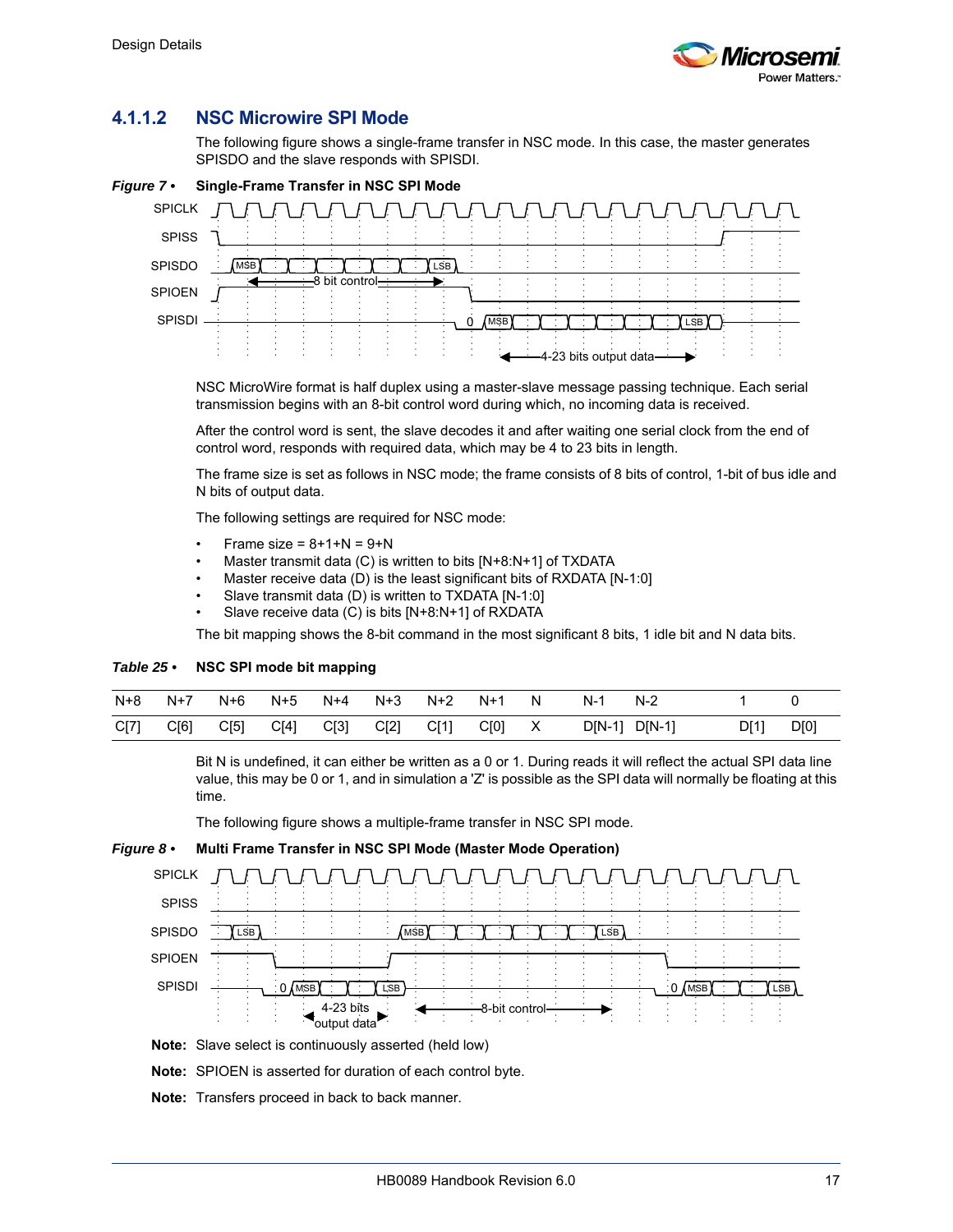

### **4.1.1.2 NSC Microwire SPI Mode**

The following figure shows a single-frame transfer in NSC mode. In this case, the master generates SPISDO and the slave responds with SPISDI.

<span id="page-22-0"></span>

NSC MicroWire format is half duplex using a master-slave message passing technique. Each serial transmission begins with an 8-bit control word during which, no incoming data is received.

After the control word is sent, the slave decodes it and after waiting one serial clock from the end of control word, responds with required data, which may be 4 to 23 bits in length.

The frame size is set as follows in NSC mode; the frame consists of 8 bits of control, 1-bit of bus idle and N bits of output data.

The following settings are required for NSC mode:

- Frame size =  $8+1+N = 9+N$
- Master transmit data (C) is written to bits [N+8:N+1] of TXDATA
- Master receive data (D) is the least significant bits of RXDATA [N-1:0]
- Slave transmit data (D) is written to TXDATA [N-1:0]
- Slave receive data (C) is bits [N+8:N+1] of RXDATA

The bit mapping shows the 8-bit command in the most significant 8 bits, 1 idle bit and N data bits.

#### <span id="page-22-2"></span>*Table 25 •* **NSC SPI mode bit mapping**

| N+8  | N+7  |      | N+6 N+5 | N+4  | N+3 N+2 |                  | N+1 | <b>N</b> | N-1           | $N-2$ |      |      |
|------|------|------|---------|------|---------|------------------|-----|----------|---------------|-------|------|------|
| C[7] | C[6] | C[5] | C[4]    | C[3] |         | C[2] C[1] C[0] X |     |          | D[N-1] D[N-1] |       | D[1] | D[0] |

Bit N is undefined, it can either be written as a 0 or 1. During reads it will reflect the actual SPI data line value, this may be 0 or 1, and in simulation a 'Z' is possible as the SPI data will normally be floating at this time.

The following figure shows a multiple-frame transfer in NSC SPI mode.

<span id="page-22-1"></span>



**Note:** Slave select is continuously asserted (held low)

**Note:** SPIOEN is asserted for duration of each control byte.

**Note:** Transfers proceed in back to back manner.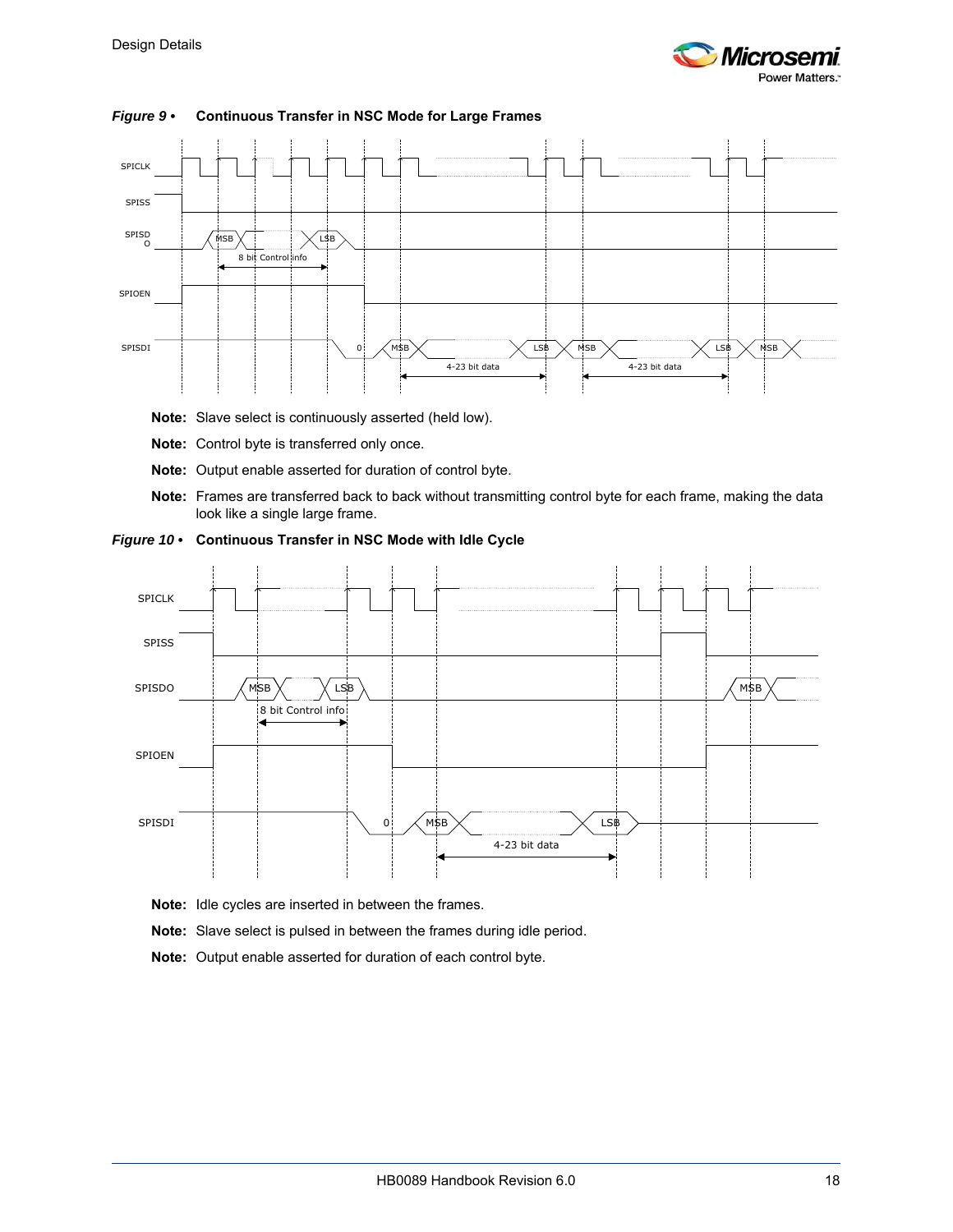



#### <span id="page-23-0"></span>*Figure 9 •* **Continuous Transfer in NSC Mode for Large Frames**

- **Note:** Slave select is continuously asserted (held low).
- **Note:** Control byte is transferred only once.
- **Note:** Output enable asserted for duration of control byte.
- **Note:** Frames are transferred back to back without transmitting control byte for each frame, making the data look like a single large frame.

<span id="page-23-1"></span>



- **Note:** Idle cycles are inserted in between the frames.
- **Note:** Slave select is pulsed in between the frames during idle period.
- **Note:** Output enable asserted for duration of each control byte.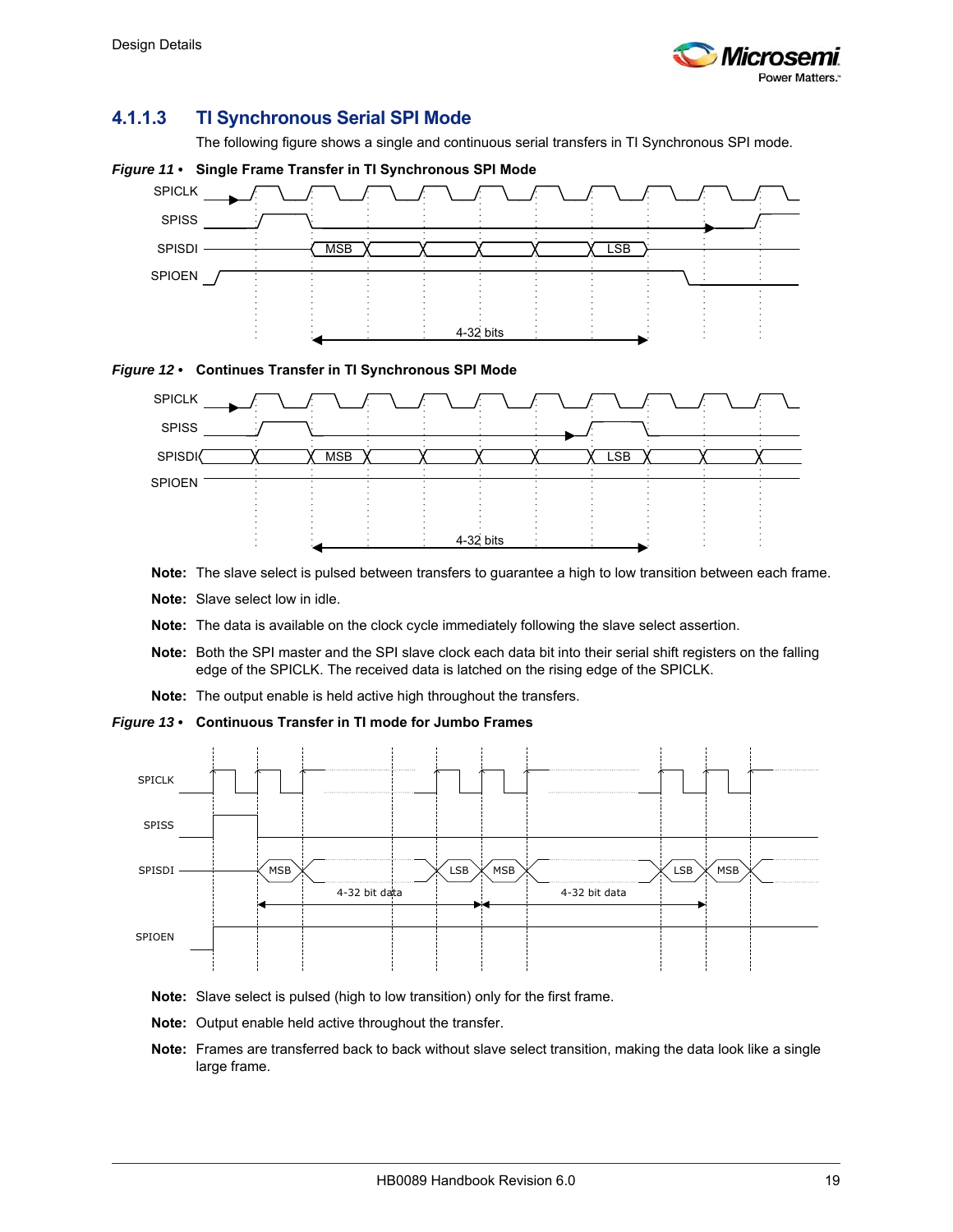

### **4.1.1.3 TI Synchronous Serial SPI Mode**

The following figure shows a single and continuous serial transfers in TI Synchronous SPI mode.

<span id="page-24-0"></span>

<span id="page-24-1"></span>



- **Note:** The slave select is pulsed between transfers to guarantee a high to low transition between each frame.
- **Note:** Slave select low in idle.
- **Note:** The data is available on the clock cycle immediately following the slave select assertion.
- **Note:** Both the SPI master and the SPI slave clock each data bit into their serial shift registers on the falling edge of the SPICLK. The received data is latched on the rising edge of the SPICLK.
- **Note:** The output enable is held active high throughout the transfers.

#### <span id="page-24-2"></span>*Figure 13 •* **Continuous Transfer in TI mode for Jumbo Frames**



- **Note:** Slave select is pulsed (high to low transition) only for the first frame.
- **Note:** Output enable held active throughout the transfer.
- **Note:** Frames are transferred back to back without slave select transition, making the data look like a single large frame.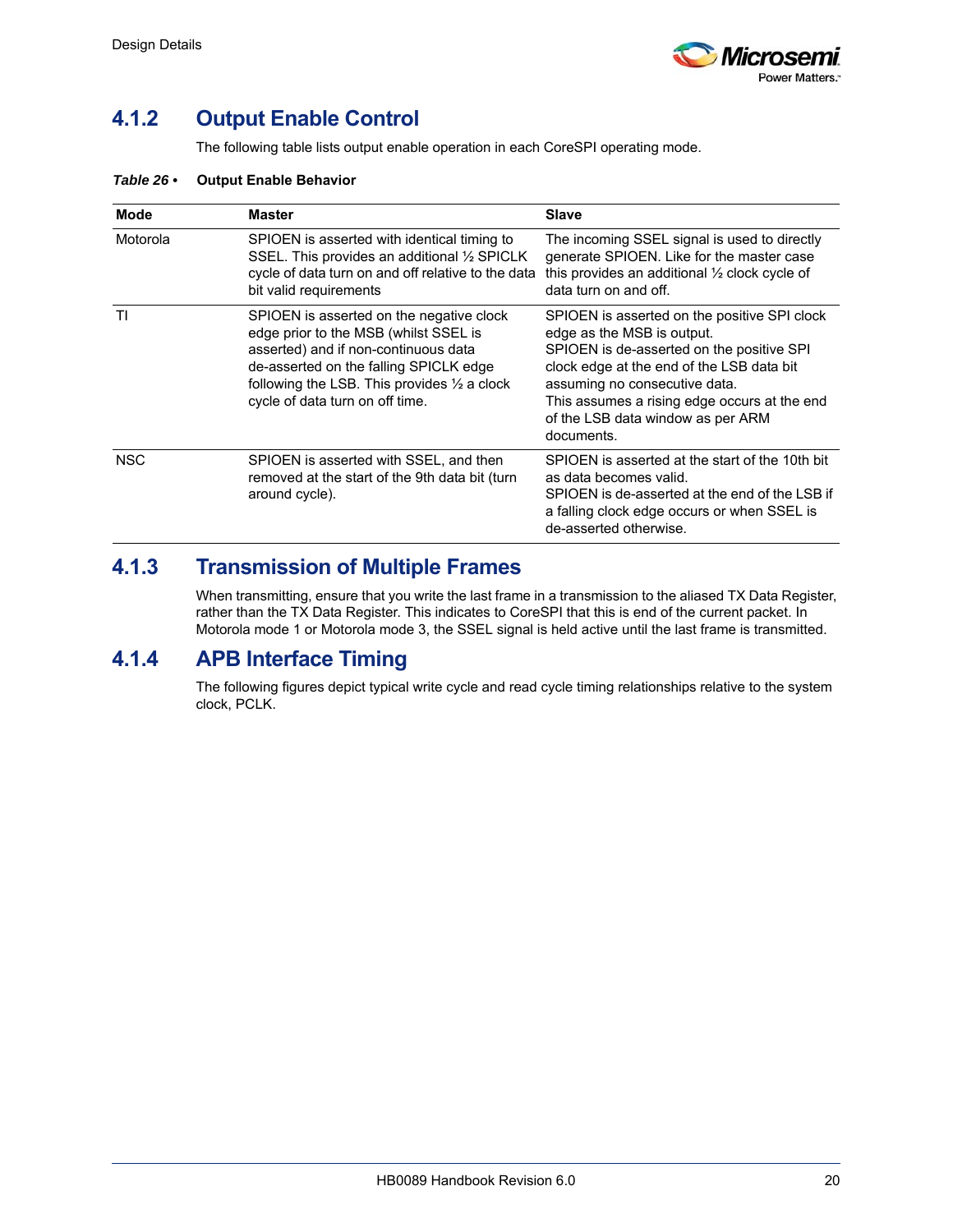

### <span id="page-25-0"></span>**4.1.2 Output Enable Control**

The following table lists output enable operation in each CoreSPI operating mode.

#### <span id="page-25-3"></span>*Table 26 •* **Output Enable Behavior**

| <b>Mode</b> | <b>Master</b>                                                                                                                                                                                                                                                    | <b>Slave</b>                                                                                                                                                                                                                                                                                             |
|-------------|------------------------------------------------------------------------------------------------------------------------------------------------------------------------------------------------------------------------------------------------------------------|----------------------------------------------------------------------------------------------------------------------------------------------------------------------------------------------------------------------------------------------------------------------------------------------------------|
| Motorola    | SPIOEN is asserted with identical timing to<br>SSEL. This provides an additional 1/2 SPICLK<br>cycle of data turn on and off relative to the data<br>bit valid requirements                                                                                      | The incoming SSEL signal is used to directly<br>generate SPIOEN. Like for the master case<br>this provides an additional 1/2 clock cycle of<br>data turn on and off.                                                                                                                                     |
| ΤI          | SPIOEN is asserted on the negative clock<br>edge prior to the MSB (whilst SSEL is<br>asserted) and if non-continuous data<br>de-asserted on the falling SPICLK edge<br>following the LSB. This provides $\frac{1}{2}$ a clock<br>cycle of data turn on off time. | SPIOEN is asserted on the positive SPI clock<br>edge as the MSB is output.<br>SPIOEN is de-asserted on the positive SPI<br>clock edge at the end of the LSB data bit<br>assuming no consecutive data.<br>This assumes a rising edge occurs at the end<br>of the LSB data window as per ARM<br>documents. |
| <b>NSC</b>  | SPIOEN is asserted with SSEL, and then<br>removed at the start of the 9th data bit (turn<br>around cycle).                                                                                                                                                       | SPIOEN is asserted at the start of the 10th bit<br>as data becomes valid.<br>SPIOEN is de-asserted at the end of the LSB if<br>a falling clock edge occurs or when SSEL is<br>de-asserted otherwise.                                                                                                     |

### <span id="page-25-1"></span>**4.1.3 Transmission of Multiple Frames**

When transmitting, ensure that you write the last frame in a transmission to the aliased TX Data Register, rather than the TX Data Register. This indicates to CoreSPI that this is end of the current packet. In Motorola mode 1 or Motorola mode 3, the SSEL signal is held active until the last frame is transmitted.

### <span id="page-25-2"></span>**4.1.4 APB Interface Timing**

The following figures depict typical write cycle and read cycle timing relationships relative to the system clock, PCLK.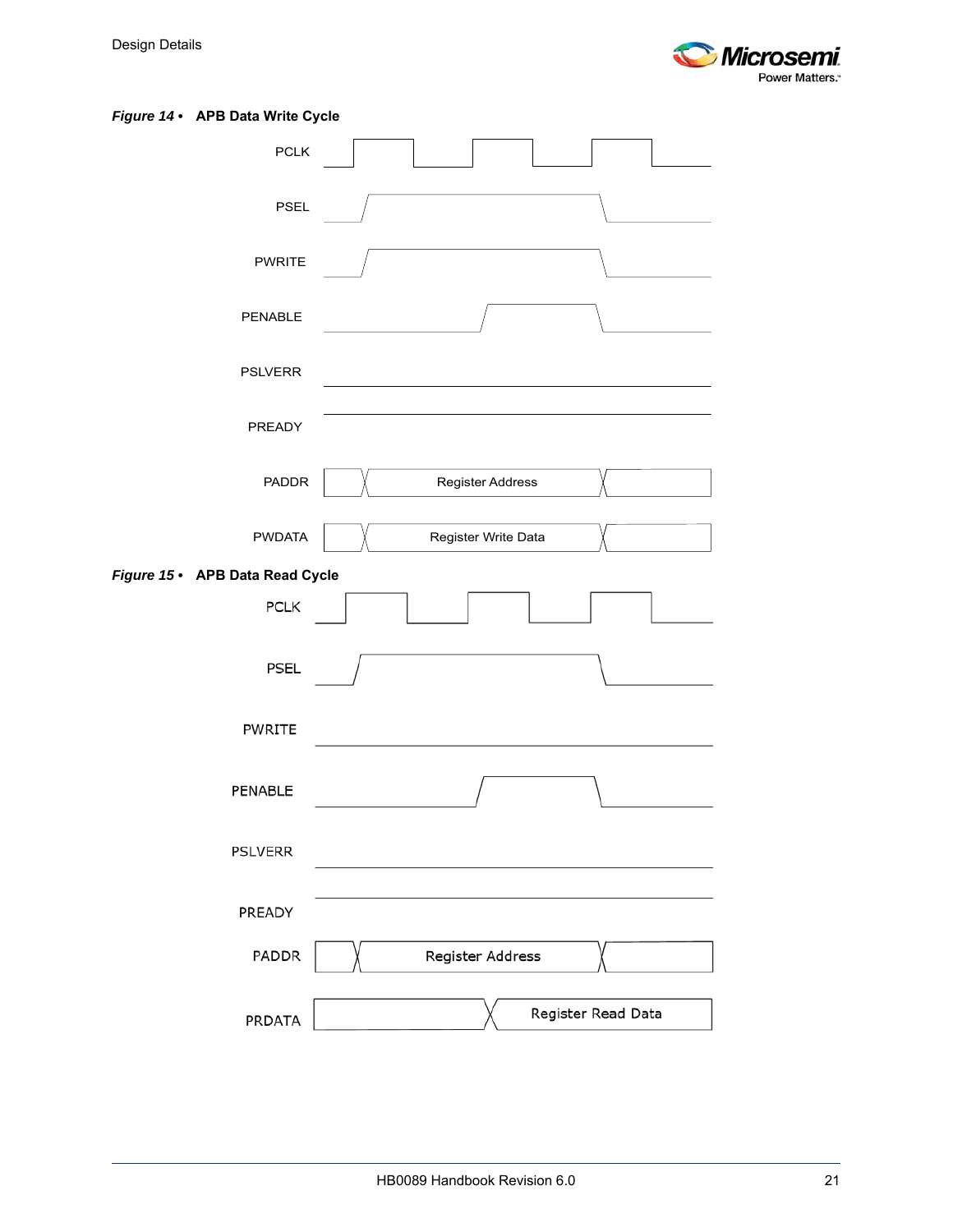

#### <span id="page-26-0"></span>*Figure 14 •* **APB Data Write Cycle**

<span id="page-26-1"></span>

| <b>PCLK</b>                     |                     |
|---------------------------------|---------------------|
| <b>PSEL</b>                     |                     |
| <b>PWRITE</b>                   |                     |
| PENABLE                         |                     |
| <b>PSLVERR</b>                  |                     |
| PREADY                          |                     |
| <b>PADDR</b>                    | Register Address    |
| <b>PWDATA</b>                   | Register Write Data |
| Figure 15 • APB Data Read Cycle |                     |
| PCLK                            |                     |
| PSEL                            |                     |
| PWRITE                          |                     |
| PENABLE                         |                     |
| <b>PSLVERR</b>                  |                     |
| PREADY                          |                     |
| PADDR                           | Register Address    |
| PRDATA                          | Register Read Data  |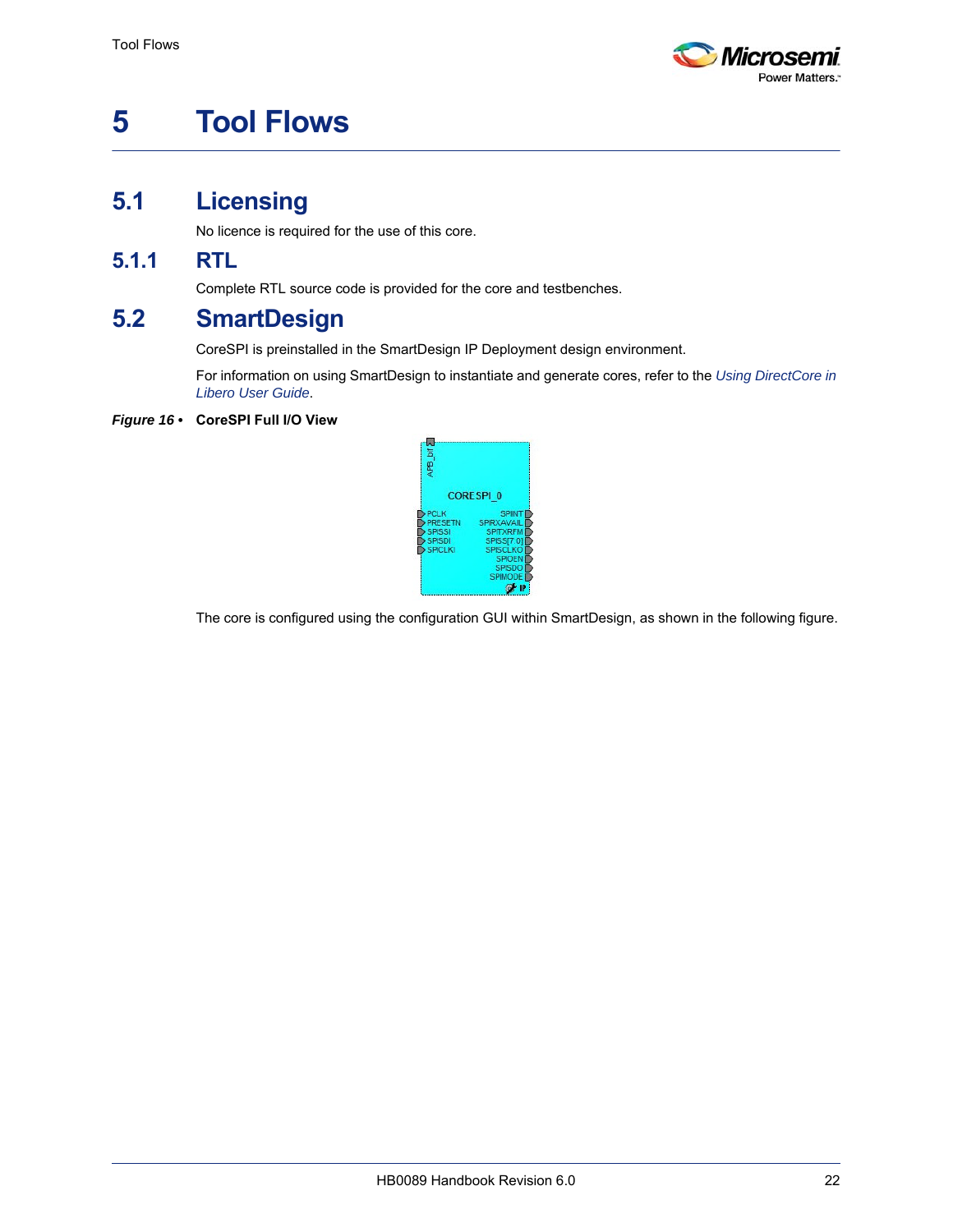

# <span id="page-27-5"></span><span id="page-27-0"></span>**5 Tool Flows**

# <span id="page-27-1"></span>**5.1 Licensing**

No licence is required for the use of this core.

### <span id="page-27-2"></span>**5.1.1 RTL**

Complete RTL source code is provided for the core and testbenches.

## <span id="page-27-3"></span>**5.2 SmartDesign**

CoreSPI is preinstalled in the SmartDesign IP Deployment design environment.

For information on using SmartDesign to instantiate and generate cores, refer to the *[Using DirectCore in](http://www.actel.com/documents/directcore_in_libero_tutorial_ug.pdf)  [Libero User Guide](http://www.actel.com/documents/directcore_in_libero_tutorial_ug.pdf)*.

#### <span id="page-27-4"></span>*Figure 16 •* **CoreSPI Full I/O View**



The core is configured using the configuration GUI within SmartDesign, as shown in the following figure.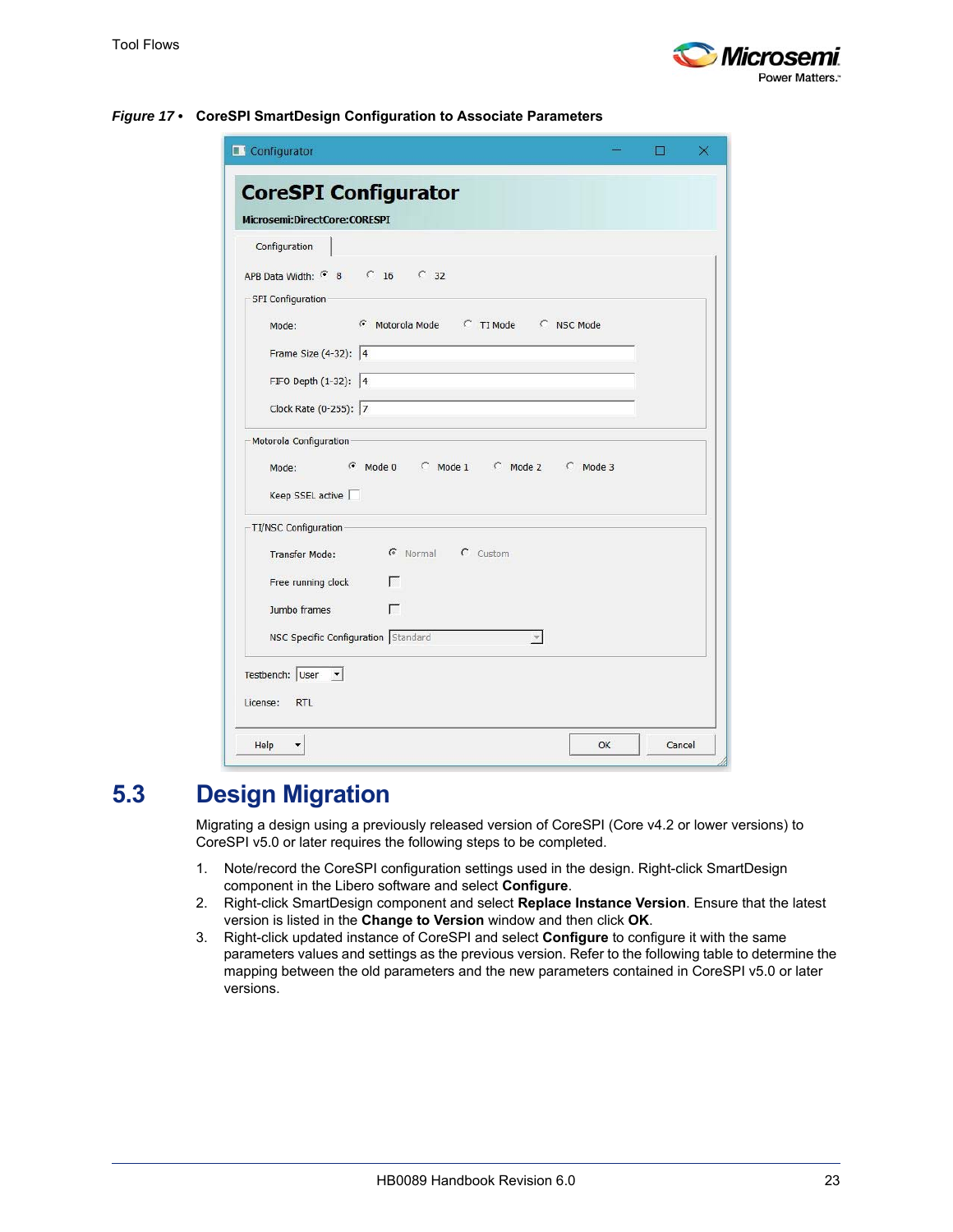

|                                                                |  | × |
|----------------------------------------------------------------|--|---|
| <b>CoreSPI Configurator</b>                                    |  |   |
| Microsemi:DirectCore:CORESPI                                   |  |   |
| Configuration                                                  |  |   |
| APB Data Width: 6 8 6 16 6 32                                  |  |   |
| SPI Configuration                                              |  |   |
| <b>Example C</b> TI Mode C NSC Mode<br>Mode:                   |  |   |
| Frame Size (4-32): 4                                           |  |   |
| FIFO Depth (1-32): 4                                           |  |   |
| Clock Rate (0-255): 7                                          |  |   |
| G Mode 0 C Mode 1 C Mode 2 C Mode 3<br>Mode:                   |  |   |
| Keep SSEL active □                                             |  |   |
| TI/NSC Configuration-                                          |  |   |
| <b>C</b> Normal C Custom<br>Transfer Mode:                     |  |   |
| Free running clock<br>г                                        |  |   |
| г<br>Jumbo frames                                              |  |   |
| NSC Specific Configuration Standard                            |  |   |
| Testbench: User $\sqrt{\phantom{a}}$<br><b>RTL</b><br>License: |  |   |

#### <span id="page-28-1"></span>*Figure 17 •* **CoreSPI SmartDesign Configuration to Associate Parameters**

## <span id="page-28-0"></span>**5.3 Design Migration**

Migrating a design using a previously released version of CoreSPI (Core v4.2 or lower versions) to CoreSPI v5.0 or later requires the following steps to be completed.

- 1. Note/record the CoreSPI configuration settings used in the design. Right-click SmartDesign component in the Libero software and select **Configure**.
- 2. Right-click SmartDesign component and select **Replace Instance Version**. Ensure that the latest version is listed in the **Change to Version** window and then click **OK**.
- 3. Right-click updated instance of CoreSPI and select **Configure** to configure it with the same parameters values and settings as the previous version. Refer to the following table to determine the mapping between the old parameters and the new parameters contained in CoreSPI v5.0 or later versions.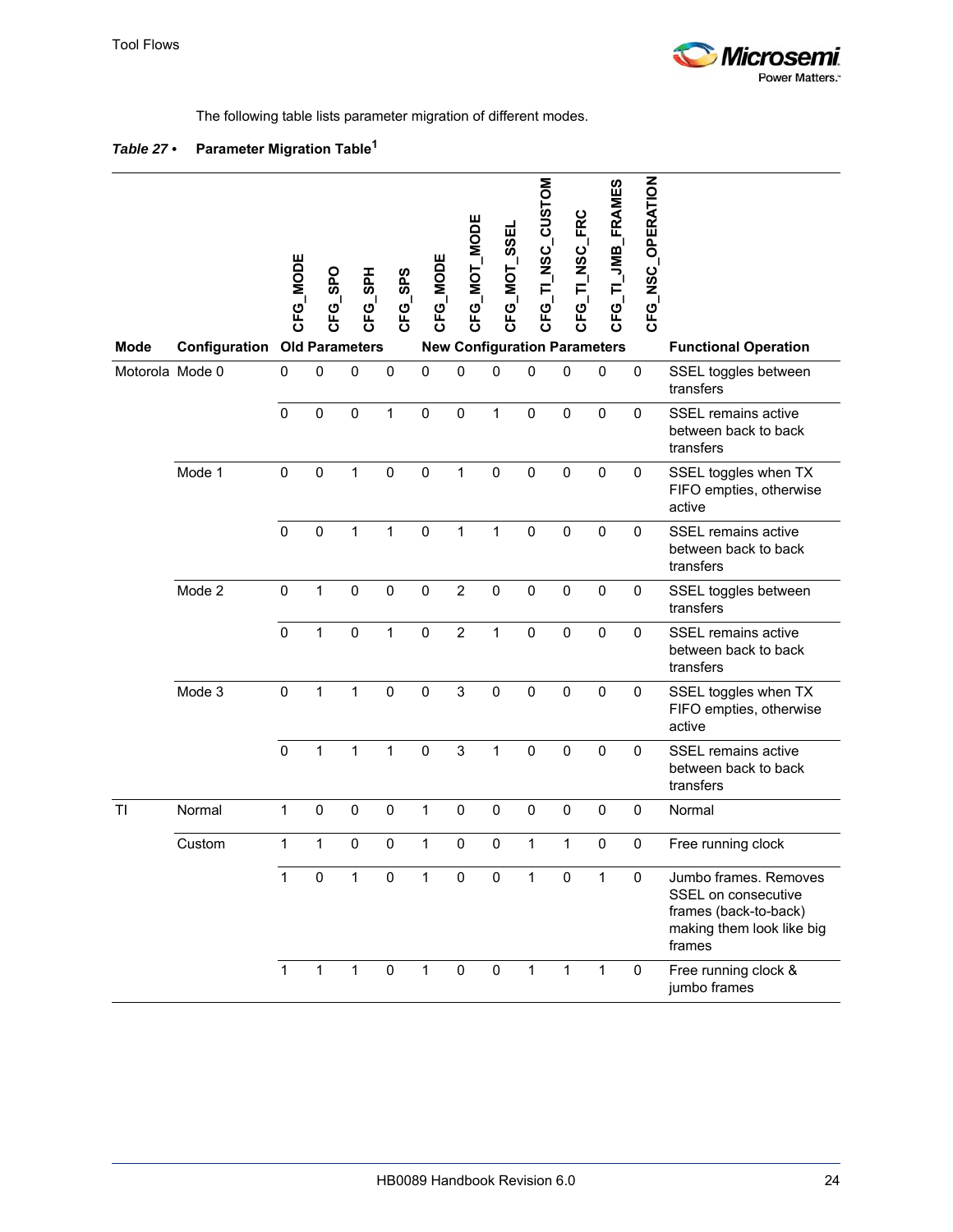

<span id="page-29-1"></span>The following table lists parameter migration of different modes.

### <span id="page-29-0"></span>*Table 27 •* **Parameter Migration Table<sup>1</sup>**

| Mode            | <b>Configuration Old Parameters</b> | CFG_MODE     | CFG_SPO      | CFG_SPH      | CFG_SPS      | CFG_MODE          | CFG_MOT_MODE   | CFG_MOT_SSEL | CFG_TI_NSC_CUSTOM<br><b>New Configuration Parameters</b> | NSC_FRC<br>CFG_TI | <b>JMB_FRAMES</b><br>CFG_TI | CFG_NSC_OPERATION | <b>Functional Operation</b>                                                                                  |
|-----------------|-------------------------------------|--------------|--------------|--------------|--------------|-------------------|----------------|--------------|----------------------------------------------------------|-------------------|-----------------------------|-------------------|--------------------------------------------------------------------------------------------------------------|
| Motorola Mode 0 |                                     | $\mathbf 0$  | $\mathbf 0$  | $\mathbf 0$  | $\mathbf 0$  | $\pmb{0}$         | $\mathbf 0$    | $\mathbf 0$  | $\mathbf 0$                                              | $\mathbf 0$       | $\mathbf 0$                 | $\mathbf 0$       | SSEL toggles between<br>transfers                                                                            |
|                 |                                     | $\mathbf{0}$ | 0            | $\pmb{0}$    | 1            | $\pmb{0}$         | $\pmb{0}$      | $\mathbf{1}$ | $\mathbf 0$                                              | $\mathbf 0$       | $\mathbf 0$                 | $\mathbf 0$       | <b>SSEL</b> remains active<br>between back to back<br>transfers                                              |
|                 | Mode 1                              | $\pmb{0}$    | 0            | $\mathbf 1$  | $\mathbf 0$  | $\pmb{0}$         | 1              | 0            | 0                                                        | $\boldsymbol{0}$  | $\pmb{0}$                   | 0                 | SSEL toggles when TX<br>FIFO empties, otherwise<br>active                                                    |
|                 |                                     | $\mathbf 0$  | $\pmb{0}$    | $\mathbf{1}$ | $\mathbf 1$  | $\mathbf 0$       | 1              | $\mathbf{1}$ | $\pmb{0}$                                                | $\pmb{0}$         | $\mathbf 0$                 | $\pmb{0}$         | SSEL remains active<br>between back to back<br>transfers                                                     |
|                 | Mode 2                              | $\mathbf 0$  | 1            | $\pmb{0}$    | $\pmb{0}$    | $\pmb{0}$         | $\overline{c}$ | $\mathbf 0$  | $\pmb{0}$                                                | $\pmb{0}$         | $\boldsymbol{0}$            | 0                 | SSEL toggles between<br>transfers                                                                            |
|                 |                                     | $\mathbf 0$  | $\mathbf{1}$ | $\mathbf 0$  | $\mathbf{1}$ | $\mathbf 0$       | $\overline{c}$ | $\mathbf{1}$ | $\mathbf 0$                                              | $\mathbf 0$       | $\pmb{0}$                   | $\mathbf 0$       | SSEL remains active<br>between back to back<br>transfers                                                     |
|                 | Mode 3                              | $\mathbf 0$  | 1            | $\mathbf{1}$ | $\mathbf 0$  | $\pmb{0}$         | 3              | $\mathbf 0$  | $\pmb{0}$                                                | $\pmb{0}$         | $\pmb{0}$                   | 0                 | SSEL toggles when TX<br>FIFO empties, otherwise<br>active                                                    |
|                 |                                     | $\mathbf 0$  | $\mathbf{1}$ | $\mathbf{1}$ | $\mathbf 1$  | $\mathbf 0$       | 3              | $\mathbf 1$  | $\boldsymbol{0}$                                         | $\pmb{0}$         | $\pmb{0}$                   | $\pmb{0}$         | <b>SSEL</b> remains active<br>between back to back<br>transfers                                              |
| TI              | Normal                              | $\mathbf{1}$ | $\pmb{0}$    | $\pmb{0}$    | $\pmb{0}$    | $\mathbf{1}$      | $\mathsf 0$    | $\mathbf 0$  | $\boldsymbol{0}$                                         | $\pmb{0}$         | $\pmb{0}$                   | $\pmb{0}$         | Normal                                                                                                       |
|                 | Custom                              | 1            | 1            | $\pmb{0}$    | $\pmb{0}$    | $\mathbf{1}$      | $\mathbf 0$    | $\pmb{0}$    | 1                                                        | 1                 | $\pmb{0}$                   | $\pmb{0}$         | Free running clock                                                                                           |
|                 |                                     | $\mathbf{1}$ |              |              |              | 0 1 0 1 0 0 1 0 1 |                |              |                                                          |                   |                             | 0                 | Jumbo frames. Removes<br>SSEL on consecutive<br>frames (back-to-back)<br>making them look like big<br>frames |
|                 |                                     | $\mathbf{1}$ | $\mathbf{1}$ | $\mathbf{1}$ | $\pmb{0}$    | $\mathbf{1}$      | $\mathbf 0$    | 0            | $\mathbf{1}$                                             | $\mathbf{1}$      | $\mathbf{1}$                | 0                 | Free running clock &<br>jumbo frames                                                                         |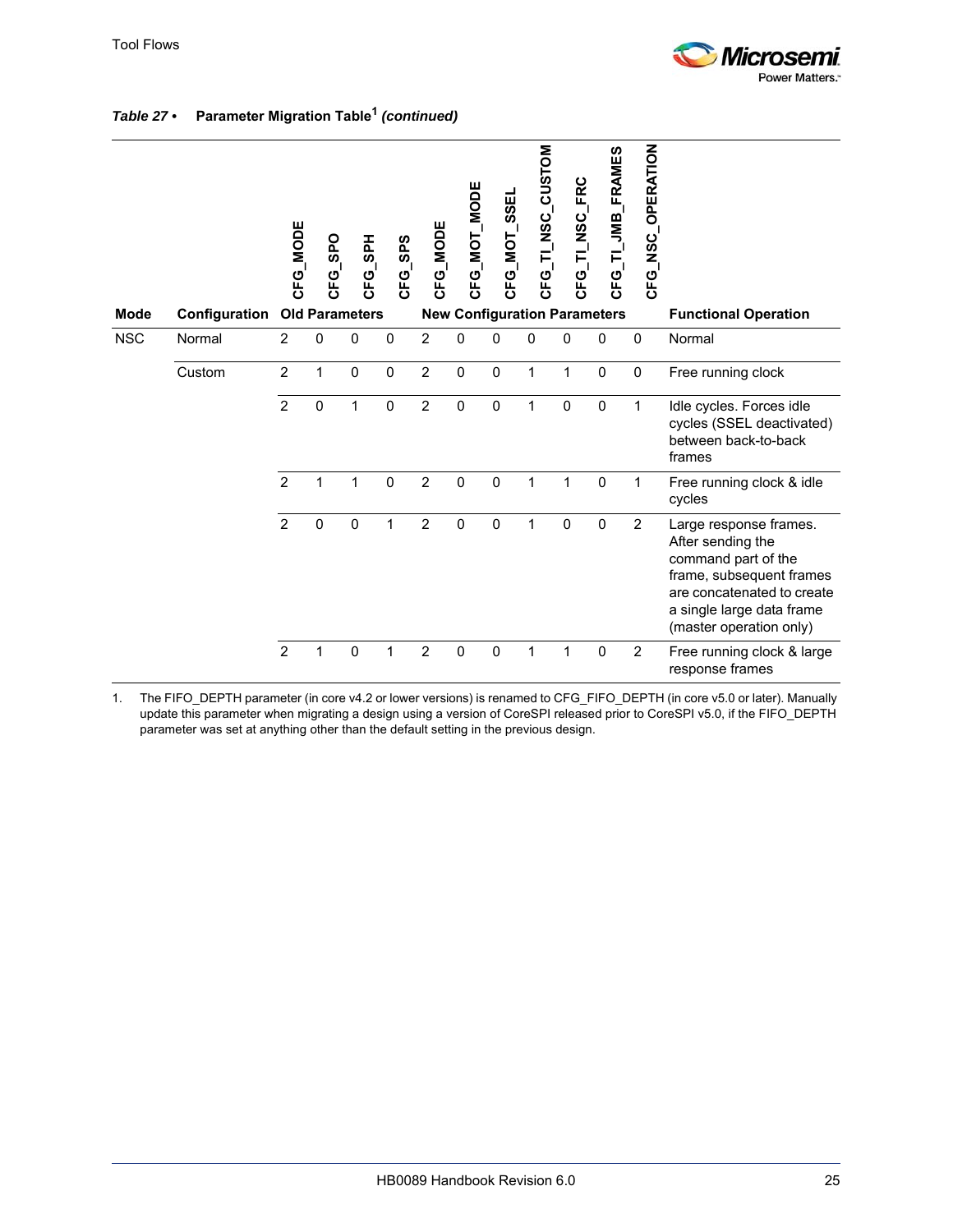

|             |               | <b>CFG_MODE</b> | CFG_SPO               | CFG_SPH     | CFG_SPS      | CFG_MODE       | CFG_MOT_MODE | CFG_MOT_SSEL | CFG_TI_NSC_CUSTOM | FRC<br>CFG_TI_NSC | <b>JMB_FRAMES</b><br>CFG_TL         | CFG_NSC_OPERATION |                                                                                                                                                                                      |
|-------------|---------------|-----------------|-----------------------|-------------|--------------|----------------|--------------|--------------|-------------------|-------------------|-------------------------------------|-------------------|--------------------------------------------------------------------------------------------------------------------------------------------------------------------------------------|
| <b>Mode</b> | Configuration |                 | <b>Old Parameters</b> |             |              |                |              |              |                   |                   | <b>New Configuration Parameters</b> |                   | <b>Functional Operation</b>                                                                                                                                                          |
| <b>NSC</b>  | Normal        | $\overline{2}$  | 0                     | $\Omega$    | $\mathbf 0$  | $\overline{2}$ | $\mathbf{0}$ | $\Omega$     | 0                 | $\mathbf{0}$      | $\mathbf 0$                         | $\mathbf 0$       | Normal                                                                                                                                                                               |
|             | Custom        | $\overline{c}$  | 1                     | $\pmb{0}$   | $\pmb{0}$    | $\overline{2}$ | $\mathbf 0$  | $\mathbf 0$  | $\mathbf{1}$      | 1                 | $\pmb{0}$                           | $\pmb{0}$         | Free running clock                                                                                                                                                                   |
|             |               | $\overline{2}$  | $\mathbf 0$           | 1           | $\mathbf 0$  | $\overline{2}$ | $\mathbf 0$  | $\mathbf 0$  | 1                 | $\mathbf 0$       | $\mathbf 0$                         | 1                 | Idle cycles. Forces idle<br>cycles (SSEL deactivated)<br>between back-to-back<br>frames                                                                                              |
|             |               | $\overline{2}$  | $\mathbf{1}$          | 1           | $\mathbf 0$  | $\overline{2}$ | $\mathbf 0$  | $\mathbf 0$  | $\mathbf{1}$      | 1                 | $\mathbf 0$                         | 1                 | Free running clock & idle<br>cycles                                                                                                                                                  |
|             |               | $\overline{2}$  | $\mathbf 0$           | $\mathbf 0$ | $\mathbf 1$  | $\overline{2}$ | $\mathbf 0$  | $\mathbf 0$  | 1                 | $\mathbf 0$       | $\mathbf 0$                         | $\overline{2}$    | Large response frames.<br>After sending the<br>command part of the<br>frame, subsequent frames<br>are concatenated to create<br>a single large data frame<br>(master operation only) |
|             |               | $\overline{2}$  | $\mathbf{1}$          | $\mathbf 0$ | $\mathbf{1}$ | $\overline{2}$ | $\mathbf 0$  | $\mathbf 0$  | $\mathbf{1}$      | 1                 | $\mathbf 0$                         | $\overline{2}$    | Free running clock & large<br>response frames                                                                                                                                        |

### *Table 27 •* **Parameter Migration Table1** *(continued)*

1. The FIFO\_DEPTH parameter (in core v4.2 or lower versions) is renamed to CFG\_FIFO\_DEPTH (in core v5.0 or later). Manually update this parameter when migrating a design using a version of CoreSPI released prior to CoreSPI v5.0, if the FIFO\_DEPTH parameter was set at anything other than the default setting in the previous design.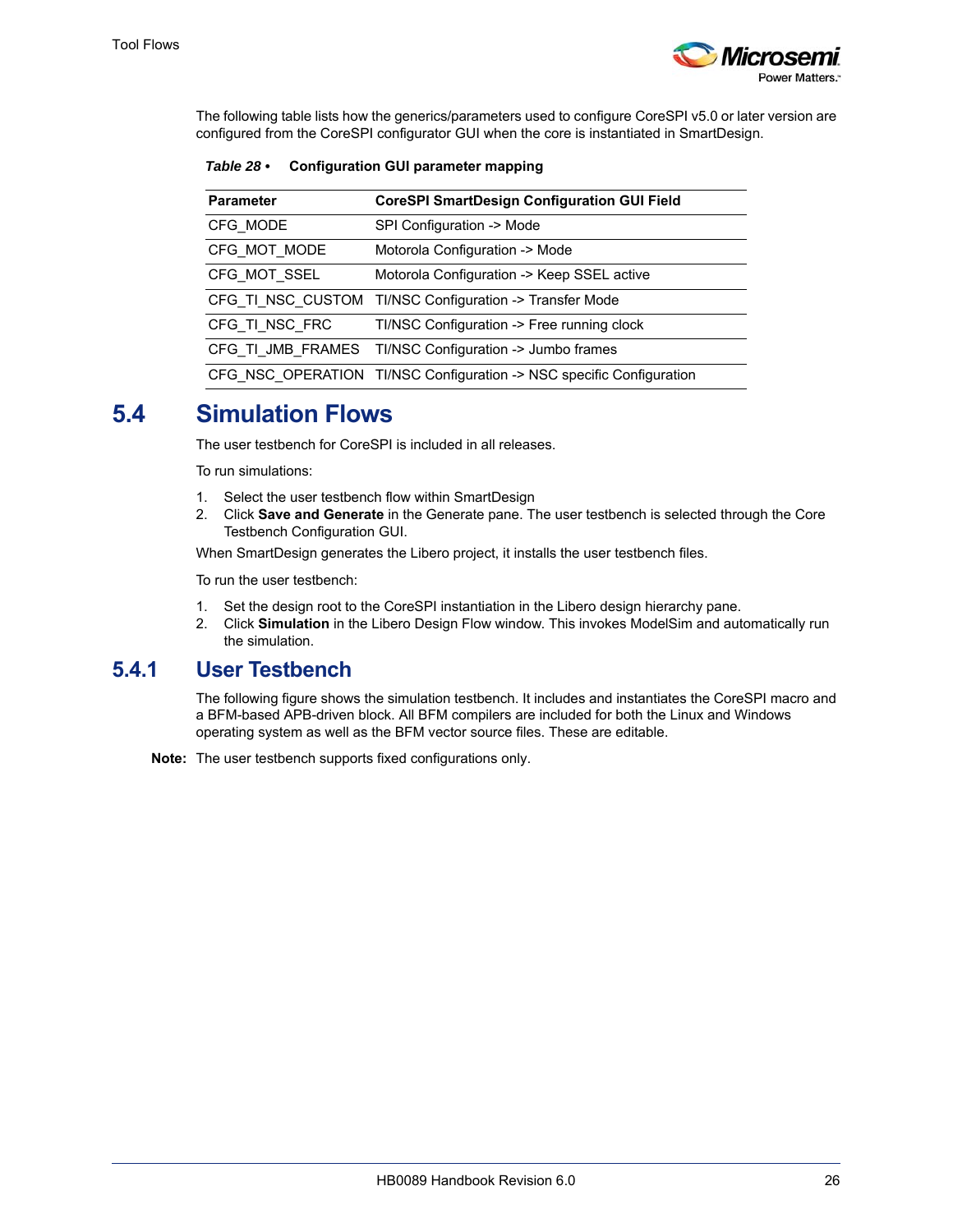

The following table lists how the generics/parameters used to configure CoreSPI v5.0 or later version are configured from the CoreSPI configurator GUI when the core is instantiated in SmartDesign.

<span id="page-31-3"></span><span id="page-31-2"></span>*Table 28 •* **Configuration GUI parameter mapping**

| <b>Parameter</b> | <b>CoreSPI SmartDesign Configuration GUI Field</b>                   |
|------------------|----------------------------------------------------------------------|
| CFG MODE         | SPI Configuration -> Mode                                            |
| CFG MOT MODE     | Motorola Configuration -> Mode                                       |
| CFG MOT SSEL     | Motorola Configuration -> Keep SSEL active                           |
|                  | CFG TI NSC CUSTOM TI/NSC Configuration -> Transfer Mode              |
| CFG TI NSC FRC   | TI/NSC Configuration -> Free running clock                           |
|                  | CFG TI JMB FRAMES TI/NSC Configuration -> Jumbo frames               |
|                  | CFG NSC OPERATION TI/NSC Configuration -> NSC specific Configuration |

### <span id="page-31-0"></span>**5.4 Simulation Flows**

The user testbench for CoreSPI is included in all releases.

To run simulations:

- 1. Select the user testbench flow within SmartDesign
- 2. Click **Save and Generate** in the Generate pane. The user testbench is selected through the Core Testbench Configuration GUI.

When SmartDesign generates the Libero project, it installs the user testbench files.

To run the user testbench:

- 1. Set the design root to the CoreSPI instantiation in the Libero design hierarchy pane.
- 2. Click **Simulation** in the Libero Design Flow window. This invokes ModelSim and automatically run the simulation.

### <span id="page-31-1"></span>**5.4.1 User Testbench**

The following figure shows the simulation testbench. It includes and instantiates the CoreSPI macro and a BFM-based APB-driven block. All BFM compilers are included for both the Linux and Windows operating system as well as the BFM vector source files. These are editable.

**Note:** The user testbench supports fixed configurations only.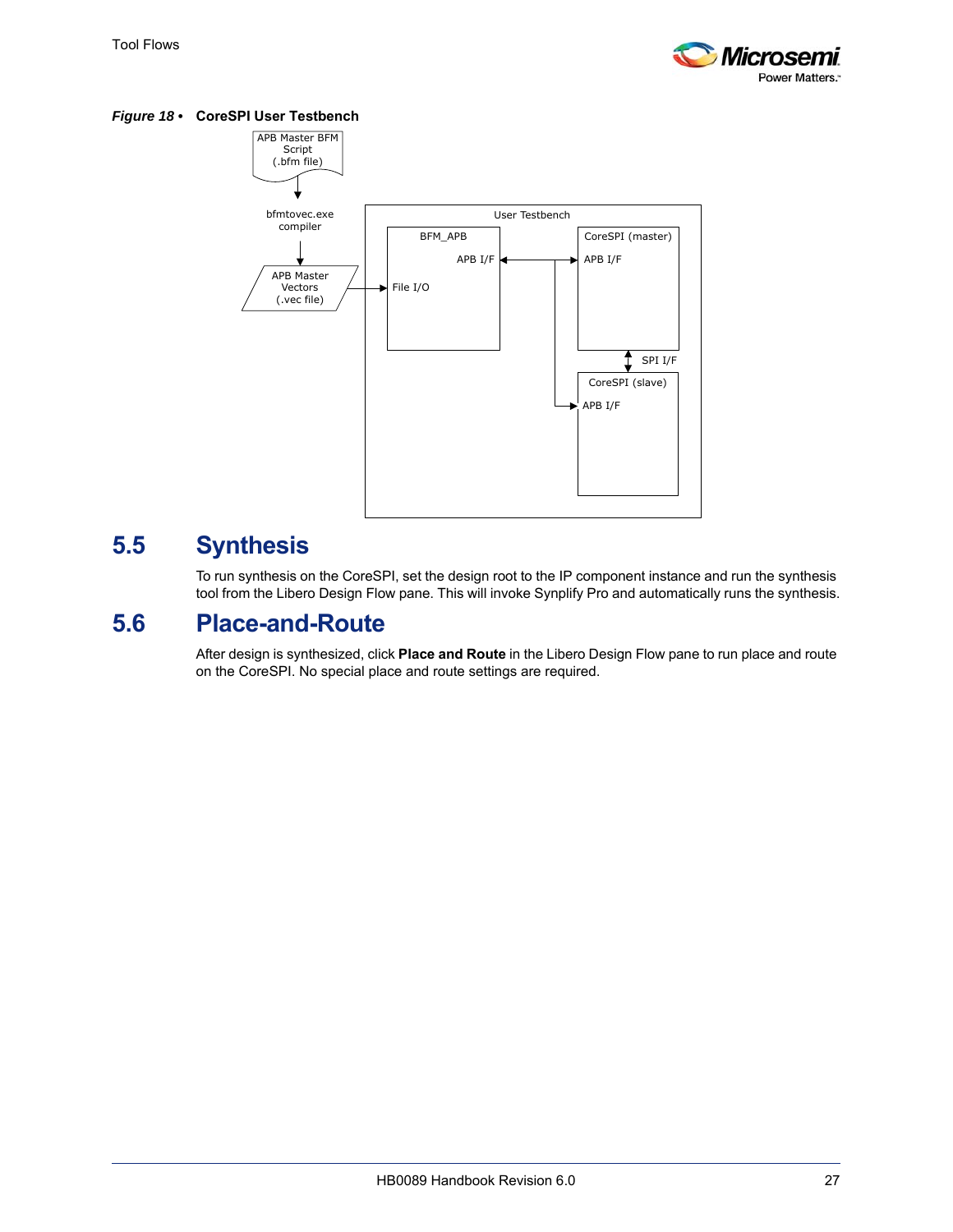

<span id="page-32-2"></span>*Figure 18 •* **CoreSPI User Testbench**



# <span id="page-32-0"></span>**5.5 Synthesis**

To run synthesis on the CoreSPI, set the design root to the IP component instance and run the synthesis tool from the Libero Design Flow pane. This will invoke Synplify Pro and automatically runs the synthesis.

### <span id="page-32-1"></span>**5.6 Place-and-Route**

After design is synthesized, click **Place and Route** in the Libero Design Flow pane to run place and route on the CoreSPI. No special place and route settings are required.